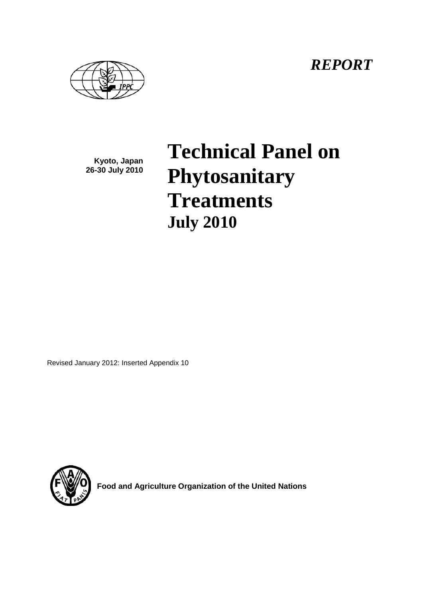*REPORT*



**Kyoto, Japan 26-30 July 2010**

# **Technical Panel on Phytosanitary Treatments July 2010**

Revised January 2012: Inserted Appendix 10



**Food and Agriculture Organization of the United Nations**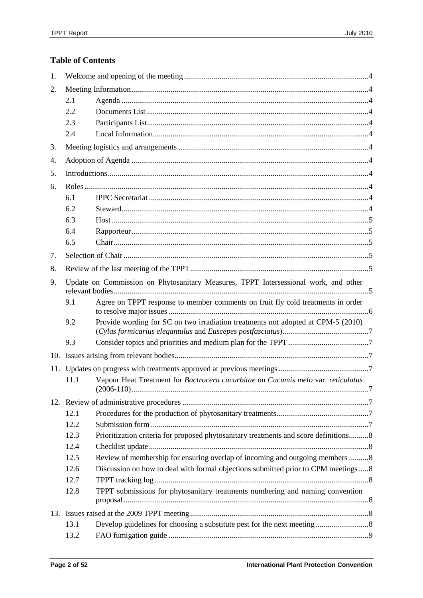# **Table of Contents**

| 1.  |      |                                                                                      |  |
|-----|------|--------------------------------------------------------------------------------------|--|
| 2.  |      |                                                                                      |  |
|     | 2.1  |                                                                                      |  |
|     | 2.2  |                                                                                      |  |
|     | 2.3  |                                                                                      |  |
|     | 2.4  |                                                                                      |  |
| 3.  |      |                                                                                      |  |
| 4.  |      |                                                                                      |  |
| 5.  |      |                                                                                      |  |
| 6.  |      |                                                                                      |  |
|     | 6.1  |                                                                                      |  |
|     | 6.2  |                                                                                      |  |
|     | 6.3  |                                                                                      |  |
|     | 6.4  |                                                                                      |  |
|     | 6.5  |                                                                                      |  |
| 7.  |      |                                                                                      |  |
| 8.  |      |                                                                                      |  |
| 9.  |      | Update on Commission on Phytosanitary Measures, TPPT Intersessional work, and other  |  |
|     | 9.1  | Agree on TPPT response to member comments on fruit fly cold treatments in order      |  |
|     | 9.2  | Provide wording for SC on two irradiation treatments not adopted at CPM-5 (2010)     |  |
|     | 9.3  |                                                                                      |  |
| 10. |      |                                                                                      |  |
|     |      |                                                                                      |  |
|     | 11.1 | Vapour Heat Treatment for Bactrocera cucurbitae on Cucumis melo var. reticulatus     |  |
|     |      |                                                                                      |  |
|     | 12.1 |                                                                                      |  |
|     | 12.2 |                                                                                      |  |
|     | 12.3 | Prioritization criteria for proposed phytosanitary treatments and score definitions8 |  |
|     | 12.4 |                                                                                      |  |
|     | 12.5 | Review of membership for ensuring overlap of incoming and outgoing members 8         |  |
|     | 12.6 | Discussion on how to deal with formal objections submitted prior to CPM meetings8    |  |
|     | 12.7 |                                                                                      |  |
|     | 12.8 | TPPT submissions for phytosanitary treatments numbering and naming convention        |  |
|     |      |                                                                                      |  |
|     | 13.1 |                                                                                      |  |
|     | 13.2 |                                                                                      |  |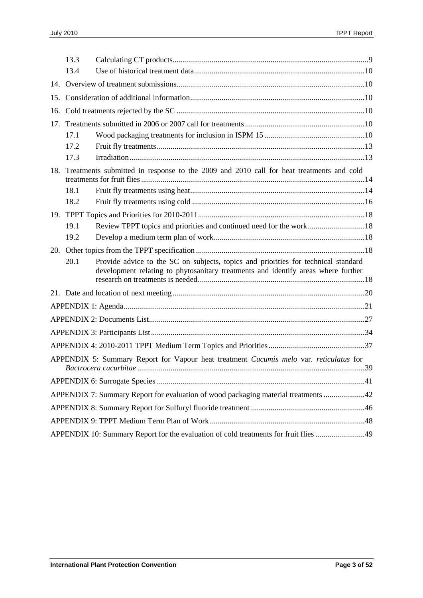|     | 13.3                                                                               |                                                                                                                                                                         |  |  |  |
|-----|------------------------------------------------------------------------------------|-------------------------------------------------------------------------------------------------------------------------------------------------------------------------|--|--|--|
|     | 13.4                                                                               |                                                                                                                                                                         |  |  |  |
|     |                                                                                    |                                                                                                                                                                         |  |  |  |
|     |                                                                                    |                                                                                                                                                                         |  |  |  |
|     |                                                                                    |                                                                                                                                                                         |  |  |  |
| 17. |                                                                                    |                                                                                                                                                                         |  |  |  |
|     | 17.1                                                                               |                                                                                                                                                                         |  |  |  |
|     | 17.2                                                                               |                                                                                                                                                                         |  |  |  |
|     | 17.3                                                                               |                                                                                                                                                                         |  |  |  |
| 18. |                                                                                    | Treatments submitted in response to the 2009 and 2010 call for heat treatments and cold                                                                                 |  |  |  |
|     | 18.1                                                                               |                                                                                                                                                                         |  |  |  |
|     | 18.2                                                                               |                                                                                                                                                                         |  |  |  |
|     |                                                                                    |                                                                                                                                                                         |  |  |  |
|     | 19.1                                                                               | Review TPPT topics and priorities and continued need for the work18                                                                                                     |  |  |  |
|     | 19.2                                                                               |                                                                                                                                                                         |  |  |  |
|     |                                                                                    |                                                                                                                                                                         |  |  |  |
|     | 20.1                                                                               | Provide advice to the SC on subjects, topics and priorities for technical standard<br>development relating to phytosanitary treatments and identify areas where further |  |  |  |
|     |                                                                                    |                                                                                                                                                                         |  |  |  |
|     |                                                                                    |                                                                                                                                                                         |  |  |  |
|     |                                                                                    |                                                                                                                                                                         |  |  |  |
|     |                                                                                    |                                                                                                                                                                         |  |  |  |
|     |                                                                                    |                                                                                                                                                                         |  |  |  |
|     |                                                                                    | APPENDIX 5: Summary Report for Vapour heat treatment Cucumis melo var. reticulatus for                                                                                  |  |  |  |
|     |                                                                                    |                                                                                                                                                                         |  |  |  |
|     | APPENDIX 7: Summary Report for evaluation of wood packaging material treatments 42 |                                                                                                                                                                         |  |  |  |
|     |                                                                                    |                                                                                                                                                                         |  |  |  |
|     |                                                                                    |                                                                                                                                                                         |  |  |  |
|     |                                                                                    | APPENDIX 10: Summary Report for the evaluation of cold treatments for fruit flies 49                                                                                    |  |  |  |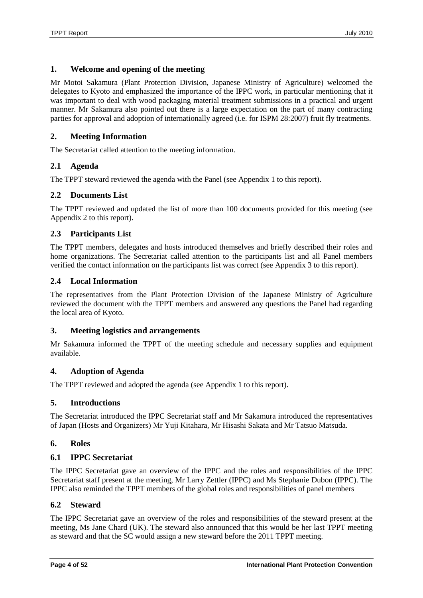# <span id="page-3-0"></span>**1. Welcome and opening of the meeting**

Mr Motoi Sakamura (Plant Protection Division, Japanese Ministry of Agriculture) welcomed the delegates to Kyoto and emphasized the importance of the IPPC work, in particular mentioning that it was important to deal with wood packaging material treatment submissions in a practical and urgent manner. Mr Sakamura also pointed out there is a large expectation on the part of many contracting parties for approval and adoption of internationally agreed (i.e. for ISPM 28:2007) fruit fly treatments.

# <span id="page-3-1"></span>**2. Meeting Information**

The Secretariat called attention to the meeting information.

# <span id="page-3-2"></span>**2.1 Agenda**

The TPPT steward reviewed the agenda with the Panel (see Appendix 1 to this report).

# <span id="page-3-3"></span>**2.2 Documents List**

The TPPT reviewed and updated the list of more than 100 documents provided for this meeting (see Appendix 2 to this report).

# <span id="page-3-4"></span>**2.3 Participants List**

The TPPT members, delegates and hosts introduced themselves and briefly described their roles and home organizations. The Secretariat called attention to the participants list and all Panel members verified the contact information on the participants list was correct (see Appendix 3 to this report).

# <span id="page-3-5"></span>**2.4 Local Information**

The representatives from the Plant Protection Division of the Japanese Ministry of Agriculture reviewed the document with the TPPT members and answered any questions the Panel had regarding the local area of Kyoto.

# <span id="page-3-6"></span>**3. Meeting logistics and arrangements**

Mr Sakamura informed the TPPT of the meeting schedule and necessary supplies and equipment available.

# <span id="page-3-7"></span>**4. Adoption of Agenda**

The TPPT reviewed and adopted the agenda (see Appendix 1 to this report).

# <span id="page-3-8"></span>**5. Introductions**

The Secretariat introduced the IPPC Secretariat staff and Mr Sakamura introduced the representatives of Japan (Hosts and Organizers) Mr Yuji Kitahara, Mr Hisashi Sakata and Mr Tatsuo Matsuda.

# <span id="page-3-9"></span>**6. Roles**

# <span id="page-3-10"></span>**6.1 IPPC Secretariat**

The IPPC Secretariat gave an overview of the IPPC and the roles and responsibilities of the IPPC Secretariat staff present at the meeting, Mr Larry Zettler (IPPC) and Ms Stephanie Dubon (IPPC). The IPPC also reminded the TPPT members of the global roles and responsibilities of panel members

# <span id="page-3-11"></span>**6.2 Steward**

The IPPC Secretariat gave an overview of the roles and responsibilities of the steward present at the meeting, Ms Jane Chard (UK). The steward also announced that this would be her last TPPT meeting as steward and that the SC would assign a new steward before the 2011 TPPT meeting.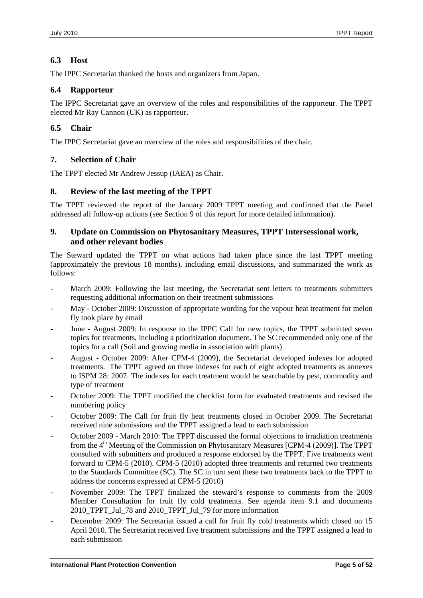# <span id="page-4-0"></span>**6.3 Host**

The IPPC Secretariat thanked the hosts and organizers from Japan.

# <span id="page-4-1"></span>**6.4 Rapporteur**

The IPPC Secretariat gave an overview of the roles and responsibilities of the rapporteur. The TPPT elected Mr Ray Cannon (UK) as rapporteur.

# <span id="page-4-2"></span>**6.5 Chair**

The IPPC Secretariat gave an overview of the roles and responsibilities of the chair.

# <span id="page-4-3"></span>**7. Selection of Chair**

The TPPT elected Mr Andrew Jessup (IAEA) as Chair.

# <span id="page-4-4"></span>**8. Review of the last meeting of the TPPT**

The TPPT reviewed the report of the January 2009 TPPT meeting and confirmed that the Panel addressed all follow-up actions (see Section 9 of this report for more detailed information).

# <span id="page-4-5"></span>**9. Update on Commission on Phytosanitary Measures, TPPT Intersessional work, and other relevant bodies**

The Steward updated the TPPT on what actions had taken place since the last TPPT meeting (approximately the previous 18 months), including email discussions, and summarized the work as follows:

- March 2009: Following the last meeting, the Secretariat sent letters to treatments submitters requesting additional information on their treatment submissions
- May October 2009: Discussion of appropriate wording for the vapour heat treatment for melon fly took place by email
- June August 2009: In response to the IPPC Call for new topics, the TPPT submitted seven topics for treatments, including a prioritization document. The SC recommended only one of the topics for a call (Soil and growing media in association with plants)
- August October 2009: After CPM-4 (2009), the Secretariat developed indexes for adopted treatments. The TPPT agreed on three indexes for each of eight adopted treatments as annexes to ISPM 28: 2007. The indexes for each treatment would be searchable by pest, commodity and type of treatment
- October 2009: The TPPT modified the checklist form for evaluated treatments and revised the numbering policy
- October 2009: The Call for fruit fly heat treatments closed in October 2009. The Secretariat received nine submissions and the TPPT assigned a lead to each submission
- October 2009 March 2010: The TPPT discussed the formal objections to irradiation treatments from the  $4<sup>th</sup>$  Meeting of the Commission on Phytosanitary Measures [CPM-4 (2009)]. The TPPT consulted with submitters and produced a response endorsed by the TPPT. Five treatments went forward to CPM-5 (2010). CPM-5 (2010) adopted three treatments and returned two treatments to the Standards Committee (SC). The SC in turn sent these two treatments back to the TPPT to address the concerns expressed at CPM-5 (2010)
- November 2009: The TPPT finalized the steward's response to comments from the 2009 Member Consultation for fruit fly cold treatments. See agenda item 9.1 and documents 2010 TPPT Jul 78 and 2010 TPPT Jul 79 for more information
- December 2009: The Secretariat issued a call for fruit fly cold treatments which closed on 15 April 2010. The Secretariat received five treatment submissions and the TPPT assigned a lead to each submission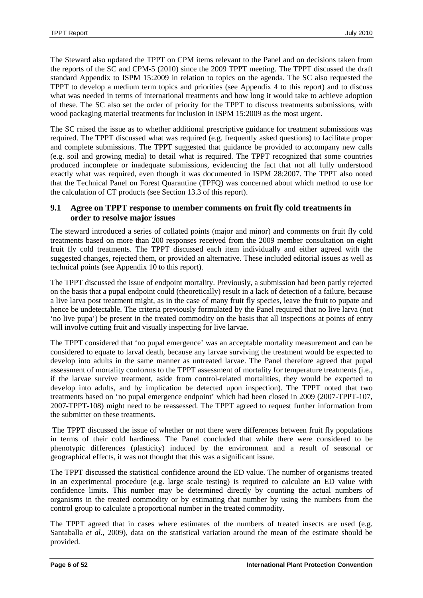The Steward also updated the TPPT on CPM items relevant to the Panel and on decisions taken from the reports of the SC and CPM-5 (2010) since the 2009 TPPT meeting. The TPPT discussed the draft standard Appendix to ISPM 15:2009 in relation to topics on the agenda. The SC also requested the TPPT to develop a medium term topics and priorities (see Appendix 4 to this report) and to discuss what was needed in terms of international treatments and how long it would take to achieve adoption of these. The SC also set the order of priority for the TPPT to discuss treatments submissions, with wood packaging material treatments for inclusion in ISPM 15:2009 as the most urgent.

The SC raised the issue as to whether additional prescriptive guidance for treatment submissions was required. The TPPT discussed what was required (e.g. frequently asked questions) to facilitate proper and complete submissions. The TPPT suggested that guidance be provided to accompany new calls (e.g. soil and growing media) to detail what is required. The TPPT recognized that some countries produced incomplete or inadequate submissions, evidencing the fact that not all fully understood exactly what was required, even though it was documented in ISPM 28:2007. The TPPT also noted that the Technical Panel on Forest Quarantine (TPFQ) was concerned about which method to use for the calculation of CT products (see Section 13.3 of this report).

# <span id="page-5-0"></span>**9.1 Agree on TPPT response to member comments on fruit fly cold treatments in order to resolve major issues**

The steward introduced a series of collated points (major and minor) and comments on fruit fly cold treatments based on more than 200 responses received from the 2009 member consultation on eight fruit fly cold treatments. The TPPT discussed each item individually and either agreed with the suggested changes, rejected them, or provided an alternative. These included editorial issues as well as technical points (see Appendix 10 to this report).

The TPPT discussed the issue of endpoint mortality. Previously, a submission had been partly rejected on the basis that a pupal endpoint could (theoretically) result in a lack of detection of a failure, because a live larva post treatment might, as in the case of many fruit fly species, leave the fruit to pupate and hence be undetectable. The criteria previously formulated by the Panel required that no live larva (not 'no live pupa') be present in the treated commodity on the basis that all inspections at points of entry will involve cutting fruit and visually inspecting for live larvae.

The TPPT considered that 'no pupal emergence' was an acceptable mortality measurement and can be considered to equate to larval death, because any larvae surviving the treatment would be expected to develop into adults in the same manner as untreated larvae. The Panel therefore agreed that pupal assessment of mortality conforms to the TPPT assessment of mortality for temperature treatments (i.e., if the larvae survive treatment, aside from control-related mortalities, they would be expected to develop into adults, and by implication be detected upon inspection). The TPPT noted that two treatments based on 'no pupal emergence endpoint' which had been closed in 2009 (2007-TPPT-107, 2007-TPPT-108) might need to be reassessed. The TPPT agreed to request further information from the submitter on these treatments.

The TPPT discussed the issue of whether or not there were differences between fruit fly populations in terms of their cold hardiness. The Panel concluded that while there were considered to be phenotypic differences (plasticity) induced by the environment and a result of seasonal or geographical effects, it was not thought that this was a significant issue.

The TPPT discussed the statistical confidence around the ED value. The number of organisms treated in an experimental procedure (e.g. large scale testing) is required to calculate an ED value with confidence limits. This number may be determined directly by counting the actual numbers of organisms in the treated commodity or by estimating that number by using the numbers from the control group to calculate a proportional number in the treated commodity.

The TPPT agreed that in cases where estimates of the numbers of treated insects are used (e.g. Santaballa *et al*., 2009), data on the statistical variation around the mean of the estimate should be provided.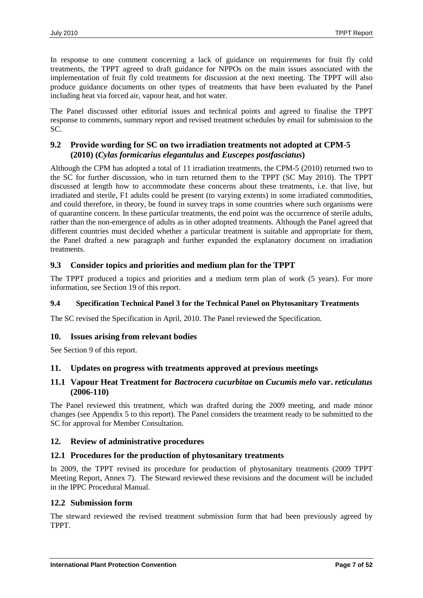In response to one comment concerning a lack of guidance on requirements for fruit fly cold treatments, the TPPT agreed to draft guidance for NPPOs on the main issues associated with the implementation of fruit fly cold treatments for discussion at the next meeting. The TPPT will also produce guidance documents on other types of treatments that have been evaluated by the Panel including heat via forced air, vapour heat, and hot water.

The Panel discussed other editorial issues and technical points and agreed to finalise the TPPT response to comments, summary report and revised treatment schedules by email for submission to the SC.

# <span id="page-6-0"></span>**9.2 Provide wording for SC on two irradiation treatments not adopted at CPM-5 (2010) (***Cylas formicarius elegantulus* **and** *Euscepes postfasciatus***)**

Although the CPM has adopted a total of 11 irradiation treatments, the CPM-5 (2010) returned two to the SC for further discussion, who in turn returned them to the TPPT (SC May 2010). The TPPT discussed at length how to accommodate these concerns about these treatments, i.e. that live, but irradiated and sterile, F1 adults could be present (to varying extents) in some irradiated commodities, and could therefore, in theory, be found in survey traps in some countries where such organisms were of quarantine concern. In these particular treatments, the end point was the occurrence of sterile adults, rather than the non-emergence of adults as in other adopted treatments. Although the Panel agreed that different countries must decided whether a particular treatment is suitable and appropriate for them, the Panel drafted a new paragraph and further expanded the explanatory document on irradiation treatments.

# <span id="page-6-1"></span>**9.3 Consider topics and priorities and medium plan for the TPPT**

The TPPT produced a topics and priorities and a medium term plan of work (5 years). For more information, see Section 19 of this report.

### **9.4 Specification Technical Panel 3 for the Technical Panel on Phytosanitary Treatments**

The SC revised the Specification in April, 2010. The Panel reviewed the Specification.

# <span id="page-6-2"></span>**10. Issues arising from relevant bodies**

See Section 9 of this report.

# <span id="page-6-3"></span>**11. Updates on progress with treatments approved at previous meetings**

### <span id="page-6-4"></span>**11.1 Vapour Heat Treatment for** *Bactrocera cucurbitae* **on** *Cucumis melo* **var.** *reticulatus* **(2006-110)**

The Panel reviewed this treatment, which was drafted during the 2009 meeting, and made minor changes (see Appendix 5 to this report). The Panel considers the treatment ready to be submitted to the SC for approval for Member Consultation.

### <span id="page-6-5"></span>**12. Review of administrative procedures**

### <span id="page-6-6"></span>**12.1 Procedures for the production of phytosanitary treatments**

In 2009, the TPPT revised its procedure for production of phytosanitary treatments (2009 TPPT Meeting Report, Annex 7). The Steward reviewed these revisions and the document will be included in the IPPC Procedural Manual.

### <span id="page-6-7"></span>**12.2 Submission form**

The steward reviewed the revised treatment submission form that had been previously agreed by TPPT.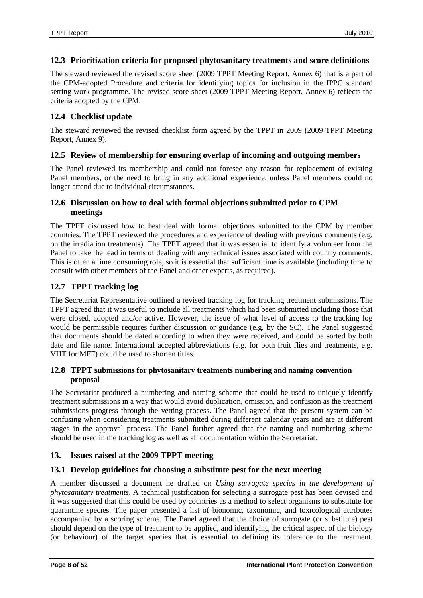### <span id="page-7-0"></span>**12.3 Prioritization criteria for proposed phytosanitary treatments and score definitions**

The steward reviewed the revised score sheet (2009 TPPT Meeting Report, Annex 6) that is a part of the CPM-adopted Procedure and criteria for identifying topics for inclusion in the IPPC standard setting work programme. The revised score sheet (2009 TPPT Meeting Report, Annex 6) reflects the criteria adopted by the CPM.

### <span id="page-7-1"></span>**12.4 Checklist update**

The steward reviewed the revised checklist form agreed by the TPPT in 2009 (2009 TPPT Meeting Report, Annex 9).

### <span id="page-7-2"></span>**12.5 Review of membership for ensuring overlap of incoming and outgoing members**

The Panel reviewed its membership and could not foresee any reason for replacement of existing Panel members, or the need to bring in any additional experience, unless Panel members could no longer attend due to individual circumstances.

### <span id="page-7-3"></span>**12.6 Discussion on how to deal with formal objections submitted prior to CPM meetings**

The TPPT discussed how to best deal with formal objections submitted to the CPM by member countries. The TPPT reviewed the procedures and experience of dealing with previous comments (e.g. on the irradiation treatments). The TPPT agreed that it was essential to identify a volunteer from the Panel to take the lead in terms of dealing with any technical issues associated with country comments. This is often a time consuming role, so it is essential that sufficient time is available (including time to consult with other members of the Panel and other experts, as required).

### <span id="page-7-4"></span>**12.7 TPPT tracking log**

The Secretariat Representative outlined a revised tracking log for tracking treatment submissions. The TPPT agreed that it was useful to include all treatments which had been submitted including those that were closed, adopted and/or active. However, the issue of what level of access to the tracking log would be permissible requires further discussion or guidance (e.g. by the SC). The Panel suggested that documents should be dated according to when they were received, and could be sorted by both date and file name. International accepted abbreviations (e.g. for both fruit flies and treatments, e.g. VHT for MFF) could be used to shorten titles.

# <span id="page-7-5"></span>**12.8 TPPT submissions for phytosanitary treatments numbering and naming convention proposal**

The Secretariat produced a numbering and naming scheme that could be used to uniquely identify treatment submissions in a way that would avoid duplication, omission, and confusion as the treatment submissions progress through the vetting process. The Panel agreed that the present system can be confusing when considering treatments submitted during different calendar years and are at different stages in the approval process. The Panel further agreed that the naming and numbering scheme should be used in the tracking log as well as all documentation within the Secretariat.

# <span id="page-7-6"></span>**13. Issues raised at the 2009 TPPT meeting**

# <span id="page-7-7"></span>**13.1 Develop guidelines for choosing a substitute pest for the next meeting**

A member discussed a document he drafted on *Using surrogate species in the development of phytosanitary treatments*. A technical justification for selecting a surrogate pest has been devised and it was suggested that this could be used by countries as a method to select organisms to substitute for quarantine species. The paper presented a list of bionomic, taxonomic, and toxicological attributes accompanied by a scoring scheme. The Panel agreed that the choice of surrogate (or substitute) pest should depend on the type of treatment to be applied, and identifying the critical aspect of the biology (or behaviour) of the target species that is essential to defining its tolerance to the treatment.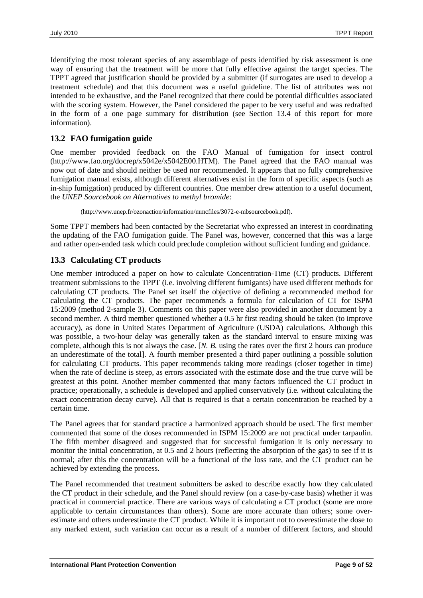Identifying the most tolerant species of any assemblage of pests identified by risk assessment is one way of ensuring that the treatment will be more that fully effective against the target species. The TPPT agreed that justification should be provided by a submitter (if surrogates are used to develop a treatment schedule) and that this document was a useful guideline. The list of attributes was not intended to be exhaustive, and the Panel recognized that there could be potential difficulties associated with the scoring system. However, the Panel considered the paper to be very useful and was redrafted in the form of a one page summary for distribution (see Section 13.4 of this report for more information).

### <span id="page-8-0"></span>**13.2 FAO fumigation guide**

One member provided feedback on the FAO Manual of fumigation for insect control [\(http://www.fao.org/docrep/x5042e/x5042E00.HTM\)](http://www.fao.org/docrep/x5042e/x5042E00.HTM). The Panel agreed that the FAO manual was now out of date and should neither be used nor recommended. It appears that no fully comprehensive fumigation manual exists, although different alternatives exist in the form of specific aspects (such as in-ship fumigation) produced by different countries. One member drew attention to a useful document, the *UNEP Sourcebook on Alternatives to methyl bromide*:

[\(http://www.unep.fr/ozonaction/information/mmcfiles/3072-e-mbsourcebook.pdf\)](http://www.unep.fr/ozonaction/information/mmcfiles/3072-e-mbsourcebook.pdf).

Some TPPT members had been contacted by the Secretariat who expressed an interest in coordinating the updating of the FAO fumigation guide. The Panel was, however, concerned that this was a large and rather open-ended task which could preclude completion without sufficient funding and guidance.

# <span id="page-8-1"></span>**13.3 Calculating CT products**

One member introduced a paper on how to calculate Concentration-Time (CT) products. Different treatment submissions to the TPPT (i.e. involving different fumigants) have used different methods for calculating CT products. The Panel set itself the objective of defining a recommended method for calculating the CT products. The paper recommends a formula for calculation of CT for ISPM 15:2009 (method 2-sample 3). Comments on this paper were also provided in another document by a second member. A third member questioned whether a 0.5 hr first reading should be taken (to improve accuracy), as done in United States Department of Agriculture (USDA) calculations. Although this was possible, a two-hour delay was generally taken as the standard interval to ensure mixing was complete, although this is not always the case. [*N. B.* using the rates over the first 2 hours can produce an underestimate of the total]. A fourth member presented a third paper outlining a possible solution for calculating CT products. This paper recommends taking more readings (closer together in time) when the rate of decline is steep, as errors associated with the estimate dose and the true curve will be greatest at this point. Another member commented that many factors influenced the CT product in practice; operationally, a schedule is developed and applied conservatively (i.e. without calculating the exact concentration decay curve). All that is required is that a certain concentration be reached by a certain time.

The Panel agrees that for standard practice a harmonized approach should be used. The first member commented that some of the doses recommended in ISPM 15:2009 are not practical under tarpaulin. The fifth member disagreed and suggested that for successful fumigation it is only necessary to monitor the initial concentration, at 0.5 and 2 hours (reflecting the absorption of the gas) to see if it is normal; after this the concentration will be a functional of the loss rate, and the CT product can be achieved by extending the process.

The Panel recommended that treatment submitters be asked to describe exactly how they calculated the CT product in their schedule, and the Panel should review (on a case-by-case basis) whether it was practical in commercial practice. There are various ways of calculating a CT product (some are more applicable to certain circumstances than others). Some are more accurate than others; some overestimate and others underestimate the CT product. While it is important not to overestimate the dose to any marked extent, such variation can occur as a result of a number of different factors, and should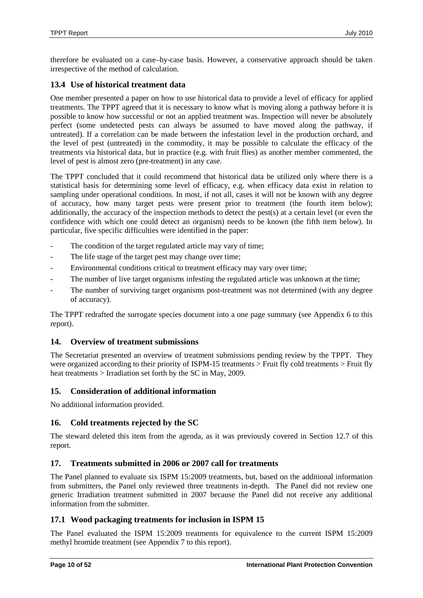therefore be evaluated on a case–by-case basis. However, a conservative approach should be taken irrespective of the method of calculation.

# <span id="page-9-0"></span>**13.4 Use of historical treatment data**

One member presented a paper on how to use historical data to provide a level of efficacy for applied treatments. The TPPT agreed that it is necessary to know what is moving along a pathway before it is possible to know how successful or not an applied treatment was. Inspection will never be absolutely perfect (some undetected pests can always be assumed to have moved along the pathway, if untreated). If a correlation can be made between the infestation level in the production orchard, and the level of pest (untreated) in the commodity, it may be possible to calculate the efficacy of the treatments via historical data, but in practice (e.g. with fruit flies) as another member commented, the level of pest is almost zero (pre-treatment) in any case.

The TPPT concluded that it could recommend that historical data be utilized only where there is a statistical basis for determining some level of efficacy, e.g. when efficacy data exist in relation to sampling under operational conditions. In most, if not all, cases it will not be known with any degree of accuracy, how many target pests were present prior to treatment (the fourth item below); additionally, the accuracy of the inspection methods to detect the pest(s) at a certain level (or even the confidence with which one could detect an organism) needs to be known (the fifth item below). In particular, five specific difficulties were identified in the paper:

- The condition of the target regulated article may vary of time;
- The life stage of the target pest may change over time;
- Environmental conditions critical to treatment efficacy may vary over time;
- The number of live target organisms infesting the regulated article was unknown at the time;
- The number of surviving target organisms post-treatment was not determined (with any degree of accuracy).

The TPPT redrafted the surrogate species document into a one page summary (see Appendix 6 to this report).

# <span id="page-9-1"></span>**14. Overview of treatment submissions**

The Secretariat presented an overview of treatment submissions pending review by the TPPT. They were organized according to their priority of ISPM-15 treatments > Fruit fly cold treatments > Fruit fly heat treatments > Irradiation set forth by the SC in May, 2009.

# <span id="page-9-2"></span>**15. Consideration of additional information**

No additional information provided.

### <span id="page-9-3"></span>**16. Cold treatments rejected by the SC**

The steward deleted this item from the agenda, as it was previously covered in Section 12.7 of this report.

# <span id="page-9-4"></span>**17. Treatments submitted in 2006 or 2007 call for treatments**

The Panel planned to evaluate six ISPM 15:2009 treatments, but, based on the additional information from submitters, the Panel only reviewed three treatments in-depth. The Panel did not review one generic Irradiation treatment submitted in 2007 because the Panel did not receive any additional information from the submitter.

# <span id="page-9-5"></span>**17.1 Wood packaging treatments for inclusion in ISPM 15**

The Panel evaluated the ISPM 15:2009 treatments for equivalence to the current ISPM 15:2009 methyl bromide treatment (see Appendix 7 to this report).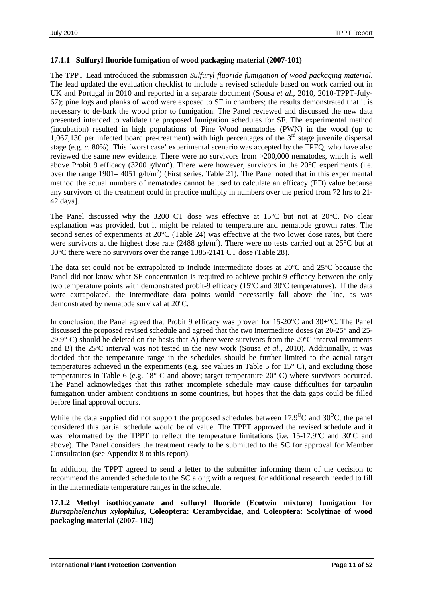### **17.1.1 Sulfuryl fluoride fumigation of wood packaging material (2007-101)**

The TPPT Lead introduced the submission *Sulfuryl fluoride fumigation of wood packaging material*. The lead updated the evaluation checklist to include a revised schedule based on work carried out in UK and Portugal in 2010 and reported in a separate document (Sousa *et al.*, 2010, 2010-TPPT-July-67); pine logs and planks of wood were exposed to SF in chambers; the results demonstrated that it is necessary to de-bark the wood prior to fumigation. The Panel reviewed and discussed the new data presented intended to validate the proposed fumigation schedules for SF. The experimental method (incubation) resulted in high populations of Pine Wood nematodes (PWN) in the wood (up to 1,067,130 per infected board pre-treatment) with high percentages of the  $3<sup>rd</sup>$  stage juvenile dispersal stage (e.g. *c.* 80%). This 'worst case' experimental scenario was accepted by the TPFQ, who have also reviewed the same new evidence. There were no survivors from >200,000 nematodes, which is well above Probit 9 efficacy (3200 g/h/m<sup>2</sup>). There were however, survivors in the 20°C experiments (i.e. over the range 1901– 4051 g/h/m<sup>2</sup>) (First series, Table 21). The Panel noted that in this experimental method the actual numbers of nematodes cannot be used to calculate an efficacy (ED) value because any survivors of the treatment could in practice multiply in numbers over the period from 72 hrs to 21- 42 days].

The Panel discussed why the 3200 CT dose was effective at 15°C but not at 20°C. No clear explanation was provided, but it might be related to temperature and nematode growth rates. The second series of experiments at 20°C (Table 24) was effective at the two lower dose rates, but there were survivors at the highest dose rate (2488  $g/h/m<sup>2</sup>$ ). There were no tests carried out at 25°C but at 30°C there were no survivors over the range 1385-2141 CT dose (Table 28).

The data set could not be extrapolated to include intermediate doses at 20ºC and 25ºC because the Panel did not know what SF concentration is required to achieve probit-9 efficacy between the only two temperature points with demonstrated probit-9 efficacy (15ºC and 30ºC temperatures). If the data were extrapolated, the intermediate data points would necessarily fall above the line, as was demonstrated by nematode survival at 20ºC.

In conclusion, the Panel agreed that Probit 9 efficacy was proven for 15-20°C and 30+°C. The Panel discussed the proposed revised schedule and agreed that the two intermediate doses (at 20-25° and 25- 29.9 $\degree$  C) should be deleted on the basis that A) there were survivors from the 20 $\degree$ C interval treatments and B) the 25ºC interval was not tested in the new work (Sousa *et al.*, 2010). Additionally, it was decided that the temperature range in the schedules should be further limited to the actual target temperatures achieved in the experiments (e.g. see values in Table 5 for 15° C), and excluding those temperatures in Table 6 (e.g. 18° C and above; target temperature 20° C) where survivors occurred. The Panel acknowledges that this rather incomplete schedule may cause difficulties for tarpaulin fumigation under ambient conditions in some countries, but hopes that the data gaps could be filled before final approval occurs.

While the data supplied did not support the proposed schedules between  $17.9^{\circ}$ C and  $30^{\circ}$ C, the panel considered this partial schedule would be of value. The TPPT approved the revised schedule and it was reformatted by the TPPT to reflect the temperature limitations (i.e. 15-17.9ºC and 30ºC and above). The Panel considers the treatment ready to be submitted to the SC for approval for Member Consultation (see Appendix 8 to this report).

In addition, the TPPT agreed to send a letter to the submitter informing them of the decision to recommend the amended schedule to the SC along with a request for additional research needed to fill in the intermediate temperature ranges in the schedule.

### **17.1.2 Methyl isothiocyanate and sulfuryl fluoride (Ecotwin mixture) fumigation for**  *Bursaphelenchus xylophilus***, Coleoptera: Cerambycidae, and Coleoptera: Scolytinae of wood packaging material (2007- 102)**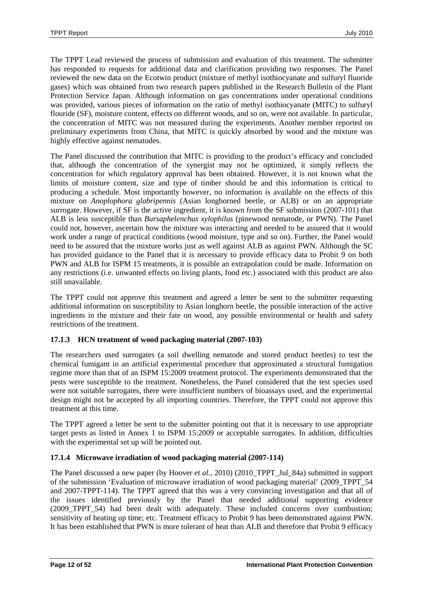The TPPT Lead reviewed the process of submission and evaluation of this treatment. The submitter has responded to requests for additional data and clarification providing two responses. The Panel reviewed the new data on the Ecotwin product (mixture of methyl isothiocyanate and sulfuryl fluoride gases) which was obtained from two research papers published in the Research Bulletin of the Plant Protection Service Japan. Although information on gas concentrations under operational conditions was provided, various pieces of information on the ratio of methyl isothiocyanate (MITC) to sulfuryl flouride (SF), moisture content, effects on different woods, and so on, were not available. In particular, the concentration of MITC was not measured during the experiments. Another member reported on preliminary experiments from China, that MITC is quickly absorbed by wood and the mixture was highly effective against nematodes.

The Panel discussed the contribution that MITC is providing to the product's efficacy and concluded that, although the concentration of the synergist may not be optimized, it simply reflects the concentration for which regulatory approval has been obtained. However, it is not known what the limits of moisture content, size and type of timber should be and this information is critical to producing a schedule. Most importantly however, no information is available on the effects of this mixture on *Anoplophora glabripennis* (Asian longhorned beetle, or ALB) or on an appropriate surrogate. However, if SF is the active ingredient, it is known from the SF submission (2007-101) that ALB is less susceptible than *Bursaphelenchus xylophilus* (pinewood nematode, or PWN). The Panel could not, however, ascertain how the mixture was interacting and needed to be assured that it would work under a range of practical conditions (wood moisture, type and so on). Further, the Panel would need to be assured that the mixture works just as well against ALB as against PWN. Although the SC has provided guidance to the Panel that it is necessary to provide efficacy data to Probit 9 on both PWN and ALB for ISPM 15 treatments, it is possible an extrapolation could be made. Information on any restrictions (i.e. unwanted effects on living plants, food etc.) associated with this product are also still unavailable.

The TPPT could not approve this treatment and agreed a letter be sent to the submitter requesting additional information on susceptibility to Asian longhorn beetle, the possible interaction of the active ingredients in the mixture and their fate on wood, any possible environmental or health and safety restrictions of the treatment.

# **17.1.3 HCN treatment of wood packaging material (2007-103)**

The researchers used surrogates (a soil dwelling nematode and stored product beetles) to test the chemical fumigant in an artificial experimental procedure that approximated a structural fumigation regime more than that of an ISPM 15:2009 treatment protocol. The experiments demonstrated that the pests were susceptible to the treatment. Nonetheless, the Panel considered that the test species used were not suitable surrogates, there were insufficient numbers of bioassays used, and the experimental design might not be accepted by all importing countries. Therefore, the TPPT could not approve this treatment at this time.

The TPPT agreed a letter be sent to the submitter pointing out that it is necessary to use appropriate target pests as listed in Annex 1 to ISPM 15:2009 or acceptable surrogates. In addition, difficulties with the experimental set up will be pointed out.

### **17.1.4 Microwave irradiation of wood packaging material (2007-114)**

The Panel discussed a new paper (by Hoover *et al.*, 2010) (2010\_TPPT\_Jul\_84a) submitted in support of the submission 'Evaluation of microwave irradiation of wood packaging material' (2009\_TPPT\_54 and 2007-TPPT-114). The TPPT agreed that this was a very convincing investigation and that all of the issues identified previously by the Panel that needed additional supporting evidence (2009 TPPT 54) had been dealt with adequately. These included concerns over combustion; sensitivity of heating up time; etc. Treatment efficacy to Probit 9 has been demonstrated against PWN. It has been established that PWN is more tolerant of heat than ALB and therefore that Probit 9 efficacy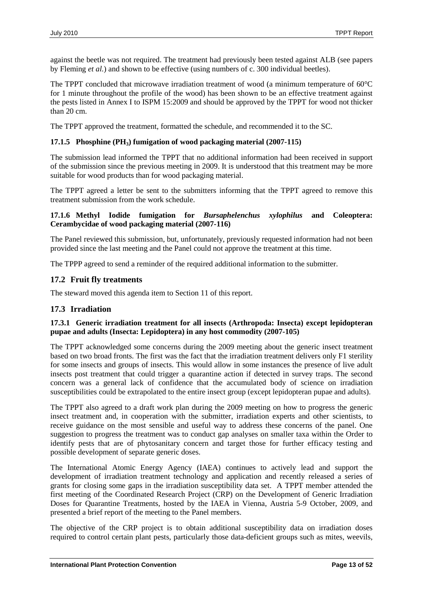against the beetle was not required. The treatment had previously been tested against ALB (see papers by Fleming *et al.*) and shown to be effective (using numbers of c. 300 individual beetles).

The TPPT concluded that microwave irradiation treatment of wood (a minimum temperature of 60°C for 1 minute throughout the profile of the wood) has been shown to be an effective treatment against the pests listed in Annex I to ISPM 15:2009 and should be approved by the TPPT for wood not thicker than 20 cm.

The TPPT approved the treatment, formatted the schedule, and recommended it to the SC.

### **17.1.5 Phosphine (PH3) fumigation of wood packaging material (2007-115)**

The submission lead informed the TPPT that no additional information had been received in support of the submission since the previous meeting in 2009. It is understood that this treatment may be more suitable for wood products than for wood packaging material.

The TPPT agreed a letter be sent to the submitters informing that the TPPT agreed to remove this treatment submission from the work schedule.

### **17.1.6 Methyl Iodide fumigation for** *Bursaphelenchus xylophilus* **and Coleoptera: Cerambycidae of wood packaging material (2007-116)**

The Panel reviewed this submission, but, unfortunately, previously requested information had not been provided since the last meeting and the Panel could not approve the treatment at this time.

The TPPP agreed to send a reminder of the required additional information to the submitter.

# <span id="page-12-0"></span>**17.2 Fruit fly treatments**

The steward moved this agenda item to Section 11 of this report.

# <span id="page-12-1"></span>**17.3 Irradiation**

### **17.3.1 Generic irradiation treatment for all insects (Arthropoda: Insecta) except lepidopteran pupae and adults (Insecta: Lepidoptera) in any host commodity (2007-105)**

The TPPT acknowledged some concerns during the 2009 meeting about the generic insect treatment based on two broad fronts. The first was the fact that the irradiation treatment delivers only F1 sterility for some insects and groups of insects. This would allow in some instances the presence of live adult insects post treatment that could trigger a quarantine action if detected in survey traps. The second concern was a general lack of confidence that the accumulated body of science on irradiation susceptibilities could be extrapolated to the entire insect group (except lepidopteran pupae and adults).

The TPPT also agreed to a draft work plan during the 2009 meeting on how to progress the generic insect treatment and, in cooperation with the submitter, irradiation experts and other scientists, to receive guidance on the most sensible and useful way to address these concerns of the panel. One suggestion to progress the treatment was to conduct gap analyses on smaller taxa within the Order to identify pests that are of phytosanitary concern and target those for further efficacy testing and possible development of separate generic doses.

The International Atomic Energy Agency (IAEA) continues to actively lead and support the development of irradiation treatment technology and application and recently released a series of grants for closing some gaps in the irradiation susceptibility data set. A TPPT member attended the first meeting of the Coordinated Research Project (CRP) on the Development of Generic Irradiation Doses for Quarantine Treatments, hosted by the IAEA in Vienna, Austria 5-9 October, 2009, and presented a brief report of the meeting to the Panel members.

The objective of the CRP project is to obtain additional susceptibility data on irradiation doses required to control certain plant pests, particularly those data-deficient groups such as mites, weevils,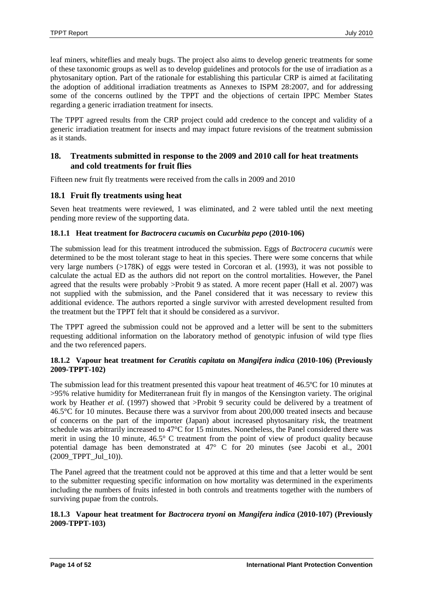leaf miners, whiteflies and mealy bugs. The project also aims to develop generic treatments for some of these taxonomic groups as well as to develop guidelines and protocols for the use of irradiation as a phytosanitary option. Part of the rationale for establishing this particular CRP is aimed at facilitating the adoption of additional irradiation treatments as Annexes to ISPM 28:2007, and for addressing some of the concerns outlined by the TPPT and the objections of certain IPPC Member States regarding a generic irradiation treatment for insects.

The TPPT agreed results from the CRP project could add credence to the concept and validity of a generic irradiation treatment for insects and may impact future revisions of the treatment submission as it stands.

# <span id="page-13-0"></span>**18. Treatments submitted in response to the 2009 and 2010 call for heat treatments and cold treatments for fruit flies**

Fifteen new fruit fly treatments were received from the calls in 2009 and 2010

# <span id="page-13-1"></span>**18.1 Fruit fly treatments using heat**

Seven heat treatments were reviewed, 1 was eliminated, and 2 were tabled until the next meeting pending more review of the supporting data.

# **18.1.1 Heat treatment for** *Bactrocera cucumis* **on** *Cucurbita pepo* **(2010-106)**

The submission lead for this treatment introduced the submission. Eggs of *Bactrocera cucumis* were determined to be the most tolerant stage to heat in this species. There were some concerns that while very large numbers (>178K) of eggs were tested in Corcoran et al. (1993), it was not possible to calculate the actual ED as the authors did not report on the control mortalities. However, the Panel agreed that the results were probably >Probit 9 as stated. A more recent paper (Hall et al. 2007) was not supplied with the submission, and the Panel considered that it was necessary to review this additional evidence. The authors reported a single survivor with arrested development resulted from the treatment but the TPPT felt that it should be considered as a survivor.

The TPPT agreed the submission could not be approved and a letter will be sent to the submitters requesting additional information on the laboratory method of genotypic infusion of wild type flies and the two referenced papers.

### **18.1.2 Vapour heat treatment for** *Ceratitis capitata* **on** *Mangifera indica* **(2010-106) (Previously 2009-TPPT-102)**

The submission lead for this treatment presented this vapour heat treatment of 46.5ºC for 10 minutes at >95% relative humidity for Mediterranean fruit fly in mangos of the Kensington variety. The original work by Heather *et al.* (1997) showed that >Probit 9 security could be delivered by a treatment of 46.5°C for 10 minutes. Because there was a survivor from about 200,000 treated insects and because of concerns on the part of the importer (Japan) about increased phytosanitary risk, the treatment schedule was arbitrarily increased to 47°C for 15 minutes. Nonetheless, the Panel considered there was merit in using the 10 minute, 46.5° C treatment from the point of view of product quality because potential damage has been demonstrated at 47° C for 20 minutes (see Jacobi et al., 2001 (2009\_TPPT\_Jul\_10)).

The Panel agreed that the treatment could not be approved at this time and that a letter would be sent to the submitter requesting specific information on how mortality was determined in the experiments including the numbers of fruits infested in both controls and treatments together with the numbers of surviving pupae from the controls.

### **18.1.3 Vapour heat treatment for** *Bactrocera tryoni* **on** *Mangifera indica* **(2010-107) (Previously 2009-TPPT-103)**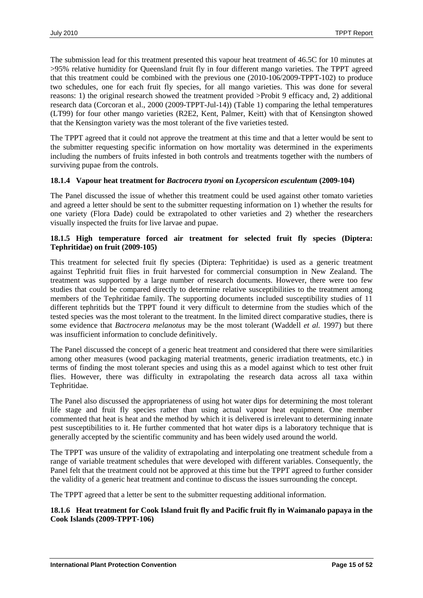The submission lead for this treatment presented this vapour heat treatment of 46.5C for 10 minutes at >95% relative humidity for Queensland fruit fly in four different mango varieties. The TPPT agreed that this treatment could be combined with the previous one (2010-106/2009-TPPT-102) to produce two schedules, one for each fruit fly species, for all mango varieties. This was done for several reasons: 1) the original research showed the treatment provided >Probit 9 efficacy and, 2) additional research data (Corcoran et al., 2000 (2009-TPPT-Jul-14)) (Table 1) comparing the lethal temperatures (LT99) for four other mango varieties (R2E2, Kent, Palmer, Keitt) with that of Kensington showed that the Kensington variety was the most tolerant of the five varieties tested.

The TPPT agreed that it could not approve the treatment at this time and that a letter would be sent to the submitter requesting specific information on how mortality was determined in the experiments including the numbers of fruits infested in both controls and treatments together with the numbers of surviving pupae from the controls.

#### **18.1.4 Vapour heat treatment for** *Bactrocera tryoni* **on** *Lycopersicon esculentum* **(2009-104)**

The Panel discussed the issue of whether this treatment could be used against other tomato varieties and agreed a letter should be sent to the submitter requesting information on 1) whether the results for one variety (Flora Dade) could be extrapolated to other varieties and 2) whether the researchers visually inspected the fruits for live larvae and pupae.

### **18.1.5 High temperature forced air treatment for selected fruit fly species (Diptera: Tephritidae) on fruit (2009-105)**

This treatment for selected fruit fly species (Diptera: Tephritidae) is used as a generic treatment against Tephritid fruit flies in fruit harvested for commercial consumption in New Zealand. The treatment was supported by a large number of research documents. However, there were too few studies that could be compared directly to determine relative susceptibilities to the treatment among members of the Tephritidae family. The supporting documents included susceptibility studies of 11 different tephritids but the TPPT found it very difficult to determine from the studies which of the tested species was the most tolerant to the treatment. In the limited direct comparative studies, there is some evidence that *Bactrocera melanotus* may be the most tolerant (Waddell *et al.* 1997) but there was insufficient information to conclude definitively.

The Panel discussed the concept of a generic heat treatment and considered that there were similarities among other measures (wood packaging material treatments, generic irradiation treatments, etc.) in terms of finding the most tolerant species and using this as a model against which to test other fruit flies. However, there was difficulty in extrapolating the research data across all taxa within Tephritidae.

The Panel also discussed the appropriateness of using hot water dips for determining the most tolerant life stage and fruit fly species rather than using actual vapour heat equipment. One member commented that heat is heat and the method by which it is delivered is irrelevant to determining innate pest susceptibilities to it. He further commented that hot water dips is a laboratory technique that is generally accepted by the scientific community and has been widely used around the world.

The TPPT was unsure of the validity of extrapolating and interpolating one treatment schedule from a range of variable treatment schedules that were developed with different variables. Consequently, the Panel felt that the treatment could not be approved at this time but the TPPT agreed to further consider the validity of a generic heat treatment and continue to discuss the issues surrounding the concept.

The TPPT agreed that a letter be sent to the submitter requesting additional information.

### **18.1.6 Heat treatment for Cook Island fruit fly and Pacific fruit fly in Waimanalo papaya in the Cook Islands (2009-TPPT-106)**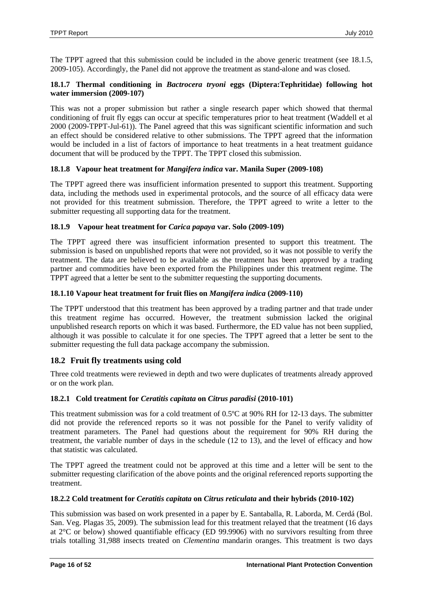The TPPT agreed that this submission could be included in the above generic treatment (see 18.1.5, 2009-105). Accordingly, the Panel did not approve the treatment as stand-alone and was closed.

### **18.1.7 Thermal conditioning in** *Bactrocera tryoni* **eggs (Diptera:Tephritidae) following hot water immersion (2009-107)**

This was not a proper submission but rather a single research paper which showed that thermal conditioning of fruit fly eggs can occur at specific temperatures prior to heat treatment (Waddell et al 2000 (2009-TPPT-Jul-61)). The Panel agreed that this was significant scientific information and such an effect should be considered relative to other submissions. The TPPT agreed that the information would be included in a list of factors of importance to heat treatments in a heat treatment guidance document that will be produced by the TPPT. The TPPT closed this submission.

# **18.1.8 Vapour heat treatment for** *Mangifera indica* **var. Manila Super (2009-108)**

The TPPT agreed there was insufficient information presented to support this treatment. Supporting data, including the methods used in experimental protocols, and the source of all efficacy data were not provided for this treatment submission. Therefore, the TPPT agreed to write a letter to the submitter requesting all supporting data for the treatment.

### **18.1.9 Vapour heat treatment for** *Carica papaya* **var. Solo (2009-109)**

The TPPT agreed there was insufficient information presented to support this treatment. The submission is based on unpublished reports that were not provided, so it was not possible to verify the treatment. The data are believed to be available as the treatment has been approved by a trading partner and commodities have been exported from the Philippines under this treatment regime. The TPPT agreed that a letter be sent to the submitter requesting the supporting documents.

### **18.1.10 Vapour heat treatment for fruit flies on** *Mangifera indica* **(2009-110)**

The TPPT understood that this treatment has been approved by a trading partner and that trade under this treatment regime has occurred. However, the treatment submission lacked the original unpublished research reports on which it was based. Furthermore, the ED value has not been supplied, although it was possible to calculate it for one species. The TPPT agreed that a letter be sent to the submitter requesting the full data package accompany the submission.

# <span id="page-15-0"></span>**18.2 Fruit fly treatments using cold**

Three cold treatments were reviewed in depth and two were duplicates of treatments already approved or on the work plan.

### **18.2.1 Cold treatment for** *Ceratitis capitata* **on** *Citrus paradisi* **(2010-101)**

This treatment submission was for a cold treatment of 0.5ºC at 90% RH for 12-13 days. The submitter did not provide the referenced reports so it was not possible for the Panel to verify validity of treatment parameters. The Panel had questions about the requirement for 90% RH during the treatment, the variable number of days in the schedule (12 to 13), and the level of efficacy and how that statistic was calculated.

The TPPT agreed the treatment could not be approved at this time and a letter will be sent to the submitter requesting clarification of the above points and the original referenced reports supporting the treatment.

### **18.2.2 Cold treatment for** *Ceratitis capitata* **on** *Citrus reticulata* **and their hybrids (2010-102)**

This submission was based on work presented in a paper by E. Santaballa, R. Laborda, M. Cerdá (Bol. San. Veg. Plagas 35, 2009). The submission lead for this treatment relayed that the treatment (16 days at 2°C or below) showed quantifiable efficacy (ED 99.9906) with no survivors resulting from three trials totalling 31,988 insects treated on *Clementina* mandarin oranges. This treatment is two days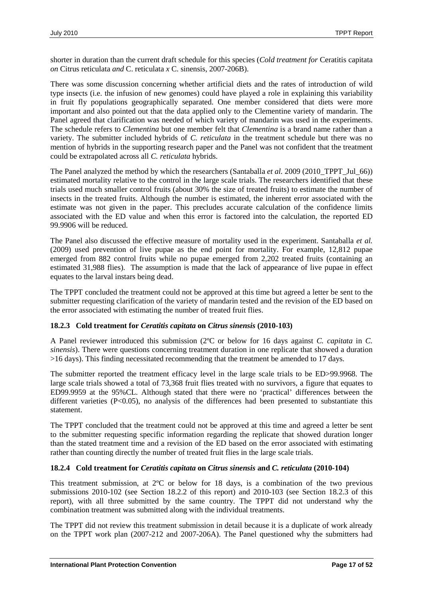shorter in duration than the current draft schedule for this species (*Cold treatment for* Ceratitis capitata *on* Citrus reticulata *and* C. reticulata *x* C. sinensis, 2007-206B).

There was some discussion concerning whether artificial diets and the rates of introduction of wild type insects (i.e. the infusion of new genomes) could have played a role in explaining this variability in fruit fly populations geographically separated. One member considered that diets were more important and also pointed out that the data applied only to the Clementine variety of mandarin. The Panel agreed that clarification was needed of which variety of mandarin was used in the experiments. The schedule refers to *Clementina* but one member felt that *Clementina* is a brand name rather than a variety. The submitter included hybrids of *C. reticulata* in the treatment schedule but there was no mention of hybrids in the supporting research paper and the Panel was not confident that the treatment could be extrapolated across all *C. reticulata* hybrids.

The Panel analyzed the method by which the researchers (Santaballa *et al.* 2009 (2010\_TPPT\_Jul\_66)) estimated mortality relative to the control in the large scale trials. The researchers identified that these trials used much smaller control fruits (about 30% the size of treated fruits) to estimate the number of insects in the treated fruits. Although the number is estimated, the inherent error associated with the estimate was not given in the paper. This precludes accurate calculation of the confidence limits associated with the ED value and when this error is factored into the calculation, the reported ED 99.9906 will be reduced.

The Panel also discussed the effective measure of mortality used in the experiment. Santaballa *et al.* (2009) used prevention of live pupae as the end point for mortality. For example, 12,812 pupae emerged from 882 control fruits while no pupae emerged from 2,202 treated fruits (containing an estimated 31,988 flies). The assumption is made that the lack of appearance of live pupae in effect equates to the larval instars being dead.

The TPPT concluded the treatment could not be approved at this time but agreed a letter be sent to the submitter requesting clarification of the variety of mandarin tested and the revision of the ED based on the error associated with estimating the number of treated fruit flies.

### **18.2.3 Cold treatment for** *Ceratitis capitata* **on** *Citrus sinensis* **(2010-103)**

A Panel reviewer introduced this submission (2ºC or below for 16 days against *C. capitata* in *C. sinensis*). There were questions concerning treatment duration in one replicate that showed a duration >16 days). This finding necessitated recommending that the treatment be amended to 17 days.

The submitter reported the treatment efficacy level in the large scale trials to be ED>99.9968. The large scale trials showed a total of 73,368 fruit flies treated with no survivors, a figure that equates to ED99.9959 at the 95%CL. Although stated that there were no 'practical' differences between the different varieties (P<0.05), no analysis of the differences had been presented to substantiate this statement.

The TPPT concluded that the treatment could not be approved at this time and agreed a letter be sent to the submitter requesting specific information regarding the replicate that showed duration longer than the stated treatment time and a revision of the ED based on the error associated with estimating rather than counting directly the number of treated fruit flies in the large scale trials.

### **18.2.4 Cold treatment for** *Ceratitis capitata* **on** *Citrus sinensis* **and** *C. reticulata* **(2010-104)**

This treatment submission, at 2ºC or below for 18 days, is a combination of the two previous submissions 2010-102 (see Section 18.2.2 of this report) and 2010-103 (see Section 18.2.3 of this report), with all three submitted by the same country. The TPPT did not understand why the combination treatment was submitted along with the individual treatments.

The TPPT did not review this treatment submission in detail because it is a duplicate of work already on the TPPT work plan (2007-212 and 2007-206A). The Panel questioned why the submitters had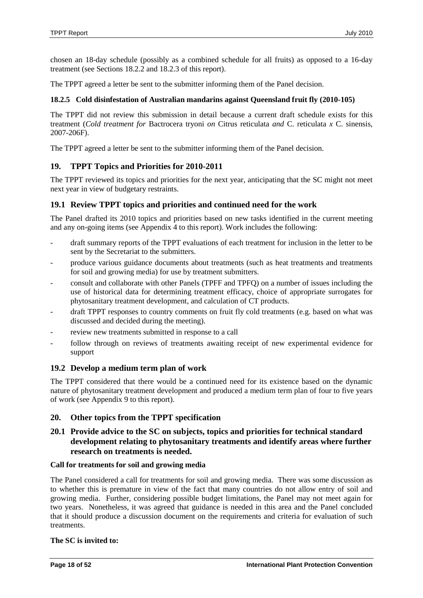chosen an 18-day schedule (possibly as a combined schedule for all fruits) as opposed to a 16-day treatment (see Sections 18.2.2 and 18.2.3 of this report).

The TPPT agreed a letter be sent to the submitter informing them of the Panel decision.

### **18.2.5 Cold disinfestation of Australian mandarins against Queensland fruit fly (2010-105)**

The TPPT did not review this submission in detail because a current draft schedule exists for this treatment (*Cold treatment for* Bactrocera tryoni *on* Citrus reticulata *and* C. reticulata *x* C. sinensis, 2007-206F).

The TPPT agreed a letter be sent to the submitter informing them of the Panel decision.

### <span id="page-17-0"></span>**19. TPPT Topics and Priorities for 2010-2011**

The TPPT reviewed its topics and priorities for the next year, anticipating that the SC might not meet next year in view of budgetary restraints.

### <span id="page-17-1"></span>**19.1 Review TPPT topics and priorities and continued need for the work**

The Panel drafted its 2010 topics and priorities based on new tasks identified in the current meeting and any on-going items (see Appendix 4 to this report). Work includes the following:

- draft summary reports of the TPPT evaluations of each treatment for inclusion in the letter to be sent by the Secretariat to the submitters.
- produce various guidance documents about treatments (such as heat treatments and treatments for soil and growing media) for use by treatment submitters.
- consult and collaborate with other Panels (TPFF and TPFQ) on a number of issues including the use of historical data for determining treatment efficacy, choice of appropriate surrogates for phytosanitary treatment development, and calculation of CT products.
- draft TPPT responses to country comments on fruit fly cold treatments (e.g. based on what was discussed and decided during the meeting).
- review new treatments submitted in response to a call
- follow through on reviews of treatments awaiting receipt of new experimental evidence for support

### <span id="page-17-2"></span>**19.2 Develop a medium term plan of work**

The TPPT considered that there would be a continued need for its existence based on the dynamic nature of phytosanitary treatment development and produced a medium term plan of four to five years of work (see Appendix 9 to this report).

### <span id="page-17-3"></span>**20. Other topics from the TPPT specification**

# <span id="page-17-4"></span>**20.1 Provide advice to the SC on subjects, topics and priorities for technical standard development relating to phytosanitary treatments and identify areas where further research on treatments is needed.**

#### **Call for treatments for soil and growing media**

The Panel considered a call for treatments for soil and growing media. There was some discussion as to whether this is premature in view of the fact that many countries do not allow entry of soil and growing media. Further, considering possible budget limitations, the Panel may not meet again for two years. Nonetheless, it was agreed that guidance is needed in this area and the Panel concluded that it should produce a discussion document on the requirements and criteria for evaluation of such treatments.

#### **The SC is invited to:**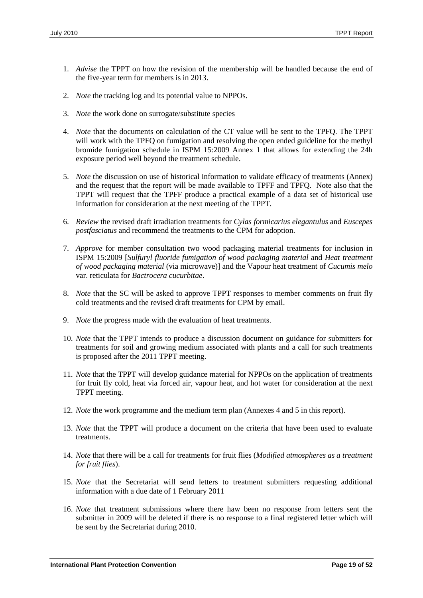- 1. *Advise* the TPPT on how the revision of the membership will be handled because the end of the five-year term for members is in 2013.
- 2. *Note* the tracking log and its potential value to NPPOs.
- 3. *Note* the work done on surrogate/substitute species
- 4. *Note* that the documents on calculation of the CT value will be sent to the TPFQ. The TPPT will work with the TPFQ on fumigation and resolving the open ended guideline for the methyl bromide fumigation schedule in ISPM 15:2009 Annex 1 that allows for extending the 24h exposure period well beyond the treatment schedule.
- 5. *Note* the discussion on use of historical information to validate efficacy of treatments (Annex) and the request that the report will be made available to TPFF and TPFQ. Note also that the TPPT will request that the TPFF produce a practical example of a data set of historical use information for consideration at the next meeting of the TPPT.
- 6. *Review* the revised draft irradiation treatments for *Cylas formicarius elegantulus* and *Euscepes postfasciatus* and recommend the treatments to the CPM for adoption.
- 7. *Approve* for member consultation two wood packaging material treatments for inclusion in ISPM 15:2009 [*Sulfuryl fluoride fumigation of wood packaging material* and *Heat treatment of wood packaging material* (via microwave)] and the Vapour heat treatment of *Cucumis melo* var. reticulata for *Bactrocera cucurbitae*.
- 8. *Note* that the SC will be asked to approve TPPT responses to member comments on fruit fly cold treatments and the revised draft treatments for CPM by email.
- 9. *Note* the progress made with the evaluation of heat treatments.
- 10. *Note* that the TPPT intends to produce a discussion document on guidance for submitters for treatments for soil and growing medium associated with plants and a call for such treatments is proposed after the 2011 TPPT meeting.
- 11. *Note* that the TPPT will develop guidance material for NPPOs on the application of treatments for fruit fly cold, heat via forced air, vapour heat, and hot water for consideration at the next TPPT meeting.
- 12. *Note* the work programme and the medium term plan (Annexes 4 and 5 in this report).
- 13. *Note* that the TPPT will produce a document on the criteria that have been used to evaluate treatments.
- 14. *Note* that there will be a call for treatments for fruit flies (*Modified atmospheres as a treatment for fruit flies*).
- 15. *Note* that the Secretariat will send letters to treatment submitters requesting additional information with a due date of 1 February 2011
- 16. *Note* that treatment submissions where there haw been no response from letters sent the submitter in 2009 will be deleted if there is no response to a final registered letter which will be sent by the Secretariat during 2010.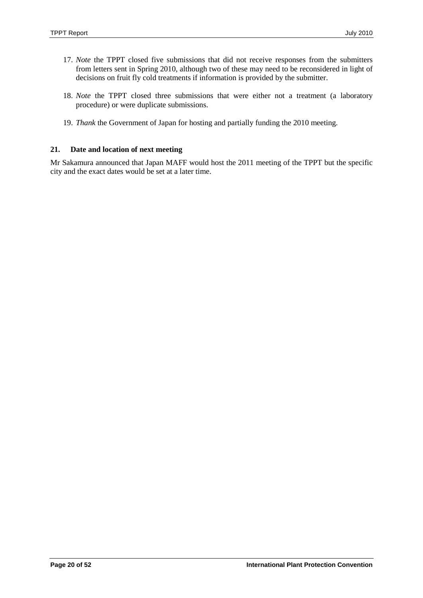- 17. *Note* the TPPT closed five submissions that did not receive responses from the submitters from letters sent in Spring 2010, although two of these may need to be reconsidered in light of decisions on fruit fly cold treatments if information is provided by the submitter.
- 18. *Note* the TPPT closed three submissions that were either not a treatment (a laboratory procedure) or were duplicate submissions.
- 19. *Thank* the Government of Japan for hosting and partially funding the 2010 meeting.

### <span id="page-19-0"></span>**21. Date and location of next meeting**

Mr Sakamura announced that Japan MAFF would host the 2011 meeting of the TPPT but the specific city and the exact dates would be set at a later time.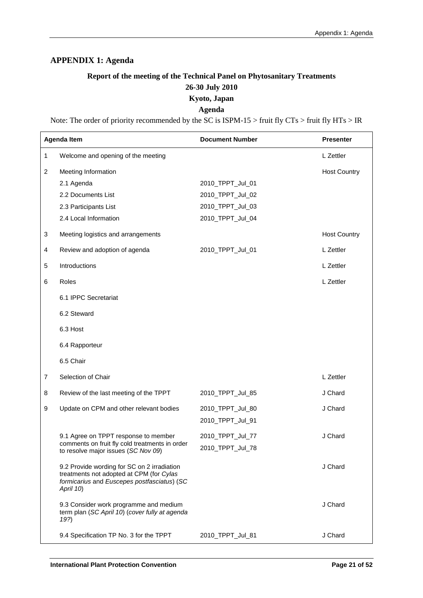# <span id="page-20-0"></span>**APPENDIX 1: Agenda**

# **Report of the meeting of the Technical Panel on Phytosanitary Treatments 26-30 July 2010 Kyoto, Japan**

### **Agenda**

Note: The order of priority recommended by the SC is ISPM-15 > fruit fly CTs > fruit fly HTs > IR

|                | <b>Agenda Item</b>                                                                                                                                  | <b>Document Number</b> | <b>Presenter</b>    |
|----------------|-----------------------------------------------------------------------------------------------------------------------------------------------------|------------------------|---------------------|
| 1              | Welcome and opening of the meeting                                                                                                                  |                        | L Zettler           |
| 2              | Meeting Information                                                                                                                                 |                        | <b>Host Country</b> |
|                | 2.1 Agenda                                                                                                                                          | 2010_TPPT_Jul_01       |                     |
|                | 2.2 Documents List                                                                                                                                  | 2010_TPPT_Jul_02       |                     |
|                | 2.3 Participants List                                                                                                                               | 2010_TPPT_Jul_03       |                     |
|                | 2.4 Local Information                                                                                                                               | 2010_TPPT_Jul_04       |                     |
| 3              | Meeting logistics and arrangements                                                                                                                  |                        | <b>Host Country</b> |
| 4              | Review and adoption of agenda                                                                                                                       | 2010_TPPT_Jul_01       | L Zettler           |
| 5              | Introductions                                                                                                                                       |                        | L Zettler           |
| 6              | Roles                                                                                                                                               |                        | L Zettler           |
|                | 6.1 IPPC Secretariat                                                                                                                                |                        |                     |
|                | 6.2 Steward                                                                                                                                         |                        |                     |
|                | 6.3 Host                                                                                                                                            |                        |                     |
|                | 6.4 Rapporteur                                                                                                                                      |                        |                     |
|                | 6.5 Chair                                                                                                                                           |                        |                     |
| $\overline{7}$ | Selection of Chair                                                                                                                                  |                        | L Zettler           |
| 8              | Review of the last meeting of the TPPT                                                                                                              | 2010_TPPT_Jul_85       | J Chard             |
| 9              | Update on CPM and other relevant bodies                                                                                                             | 2010_TPPT_Jul_80       | J Chard             |
|                |                                                                                                                                                     | 2010_TPPT_Jul_91       |                     |
|                | 9.1 Agree on TPPT response to member                                                                                                                | 2010_TPPT_Jul_77       | J Chard             |
|                | comments on fruit fly cold treatments in order<br>to resolve major issues (SC Nov 09)                                                               | 2010 TPPT Jul 78       |                     |
|                | 9.2 Provide wording for SC on 2 irradiation<br>treatments not adopted at CPM (for Cylas<br>formicarius and Euscepes postfasciatus) (SC<br>April 10) |                        | J Chard             |
|                | 9.3 Consider work programme and medium<br>term plan (SC April 10) (cover fully at agenda<br>19?)                                                    |                        | J Chard             |
|                | 9.4 Specification TP No. 3 for the TPPT                                                                                                             | 2010_TPPT_Jul_81       | J Chard             |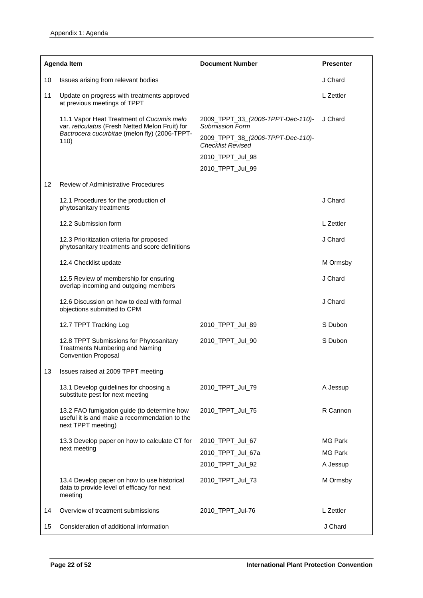|    | <b>Agenda Item</b>                                                                                                                            | <b>Document Number</b>                                                                           | <b>Presenter</b> |
|----|-----------------------------------------------------------------------------------------------------------------------------------------------|--------------------------------------------------------------------------------------------------|------------------|
| 10 | Issues arising from relevant bodies                                                                                                           |                                                                                                  | J Chard          |
| 11 | Update on progress with treatments approved<br>at previous meetings of TPPT                                                                   |                                                                                                  | L Zettler        |
|    | 11.1 Vapor Heat Treatment of Cucumis melo<br>var. reticulatus (Fresh Netted Melon Fruit) for<br>Bactrocera cucurbitae (melon fly) (2006-TPPT- | 2009_TPPT_33_(2006-TPPT-Dec-110)-<br><b>Submission Form</b><br>2009_TPPT_38_(2006-TPPT-Dec-110)- | J Chard          |
|    | 110)                                                                                                                                          | <b>Checklist Revised</b>                                                                         |                  |
|    |                                                                                                                                               | 2010_TPPT_Jul_98                                                                                 |                  |
|    |                                                                                                                                               | 2010_TPPT_Jul_99                                                                                 |                  |
| 12 | <b>Review of Administrative Procedures</b>                                                                                                    |                                                                                                  |                  |
|    | 12.1 Procedures for the production of<br>phytosanitary treatments                                                                             |                                                                                                  | J Chard          |
|    | 12.2 Submission form                                                                                                                          |                                                                                                  | L Zettler        |
|    | 12.3 Prioritization criteria for proposed<br>phytosanitary treatments and score definitions                                                   |                                                                                                  | J Chard          |
|    | 12.4 Checklist update                                                                                                                         |                                                                                                  | M Ormsby         |
|    | 12.5 Review of membership for ensuring<br>overlap incoming and outgoing members                                                               |                                                                                                  | J Chard          |
|    | 12.6 Discussion on how to deal with formal<br>objections submitted to CPM                                                                     |                                                                                                  | J Chard          |
|    | 12.7 TPPT Tracking Log                                                                                                                        | 2010_TPPT_Jul_89                                                                                 | S Dubon          |
|    | 12.8 TPPT Submissions for Phytosanitary<br><b>Treatments Numbering and Naming</b><br><b>Convention Proposal</b>                               | 2010_TPPT_Jul_90                                                                                 | S Dubon          |
| 13 | Issues raised at 2009 TPPT meeting                                                                                                            |                                                                                                  |                  |
|    | 13.1 Develop guidelines for choosing a<br>substitute pest for next meeting                                                                    | 2010_TPPT_Jul_79                                                                                 | A Jessup         |
|    | 13.2 FAO fumigation guide (to determine how<br>useful it is and make a recommendation to the<br>next TPPT meeting)                            | 2010_TPPT_Jul_75                                                                                 | R Cannon         |
|    | 13.3 Develop paper on how to calculate CT for                                                                                                 | 2010_TPPT_Jul_67                                                                                 | MG Park          |
|    | next meeting                                                                                                                                  | 2010_TPPT_Jul_67a                                                                                | <b>MG Park</b>   |
|    |                                                                                                                                               | 2010_TPPT_Jul_92                                                                                 | A Jessup         |
|    | 13.4 Develop paper on how to use historical<br>data to provide level of efficacy for next<br>meeting                                          | 2010_TPPT_Jul_73                                                                                 | M Ormsby         |
| 14 | Overview of treatment submissions                                                                                                             | 2010_TPPT_Jul-76                                                                                 | L Zettler        |
| 15 | Consideration of additional information                                                                                                       |                                                                                                  | J Chard          |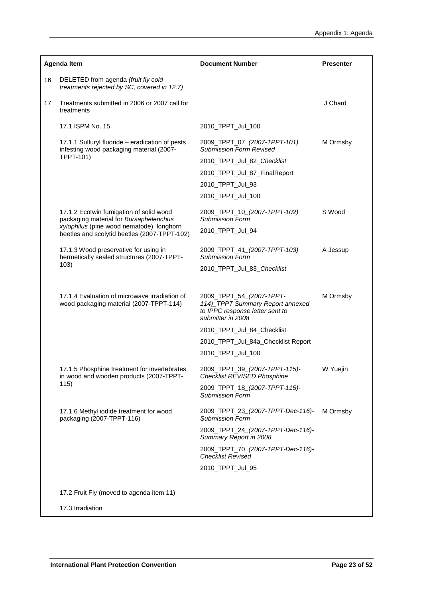|    | Agenda Item                                                                                 | <b>Document Number</b>                                                                                               | <b>Presenter</b> |
|----|---------------------------------------------------------------------------------------------|----------------------------------------------------------------------------------------------------------------------|------------------|
| 16 | DELETED from agenda (fruit fly cold<br>treatments rejected by SC, covered in 12.7)          |                                                                                                                      |                  |
| 17 | Treatments submitted in 2006 or 2007 call for<br>treatments                                 |                                                                                                                      | J Chard          |
|    | 17.1 ISPM No. 15                                                                            | 2010_TPPT_Jul_100                                                                                                    |                  |
|    | 17.1.1 Sulfuryl fluoride - eradication of pests<br>infesting wood packaging material (2007- | 2009_TPPT_07_(2007-TPPT-101)<br><b>Submission Form Revised</b>                                                       | M Ormsby         |
|    | TPPT-101)                                                                                   | 2010_TPPT_Jul_82_Checklist                                                                                           |                  |
|    |                                                                                             | 2010_TPPT_Jul_87_FinalReport                                                                                         |                  |
|    |                                                                                             | 2010_TPPT_Jul_93                                                                                                     |                  |
|    |                                                                                             | 2010_TPPT_Jul_100                                                                                                    |                  |
|    | 17.1.2 Ecotwin fumigation of solid wood<br>packaging material for Bursaphelenchus           | 2009_TPPT_10_(2007-TPPT-102)<br><b>Submission Form</b>                                                               | S Wood           |
|    | xylophilus (pine wood nematode), longhorn<br>beetles and scolytid beetles (2007-TPPT-102)   | 2010_TPPT_Jul_94                                                                                                     |                  |
|    | 17.1.3 Wood preservative for using in<br>hermetically sealed structures (2007-TPPT-         | 2009_TPPT_41_(2007-TPPT-103)<br><b>Submission Form</b>                                                               | A Jessup         |
|    | 103)                                                                                        | 2010_TPPT_Jul_83_Checklist                                                                                           |                  |
|    |                                                                                             |                                                                                                                      |                  |
|    | 17.1.4 Evaluation of microwave irradiation of<br>wood packaging material (2007-TPPT-114)    | 2009_TPPT_54_(2007-TPPT-<br>114) TPPT Summary Report annexed<br>to IPPC response letter sent to<br>submitter in 2008 | M Ormsby         |
|    |                                                                                             | 2010_TPPT_Jul_84_Checklist                                                                                           |                  |
|    |                                                                                             | 2010_TPPT_Jul_84a_Checklist Report                                                                                   |                  |
|    |                                                                                             | 2010_TPPT_Jul_100                                                                                                    |                  |
|    | 17.1.5 Phosphine treatment for invertebrates<br>in wood and wooden products (2007-TPPT-     | 2009_TPPT_39_(2007-TPPT-115)-<br><b>Checklist REVISED Phosphine</b>                                                  | W Yuejin         |
|    | 115)                                                                                        | 2009_TPPT_18_(2007-TPPT-115)-<br><b>Submission Form</b>                                                              |                  |
|    | 17.1.6 Methyl iodide treatment for wood<br>packaging (2007-TPPT-116)                        | 2009_TPPT_23_(2007-TPPT-Dec-116)-<br>Submission Form                                                                 | M Ormsby         |
|    |                                                                                             | 2009_TPPT_24_(2007-TPPT-Dec-116)-<br>Summary Report in 2008                                                          |                  |
|    |                                                                                             | 2009_TPPT_70_(2007-TPPT-Dec-116)-<br><b>Checklist Revised</b>                                                        |                  |
|    |                                                                                             | 2010_TPPT_Jul_95                                                                                                     |                  |
|    | 17.2 Fruit Fly (moved to agenda item 11)                                                    |                                                                                                                      |                  |
|    | 17.3 Irradiation                                                                            |                                                                                                                      |                  |
|    |                                                                                             |                                                                                                                      |                  |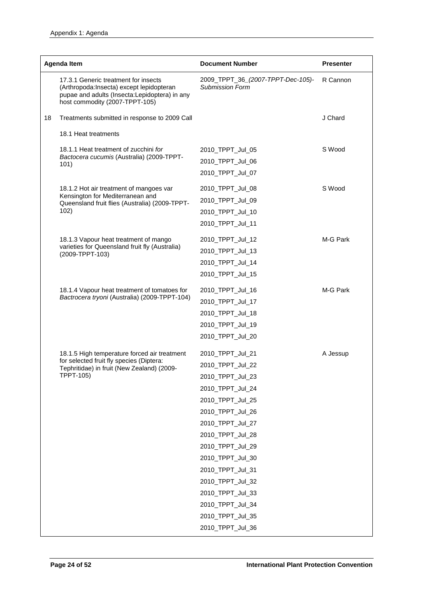|    | <b>Agenda Item</b>                                                                                                                                                   | <b>Document Number</b>                                                                                                                                                                                                                                                                                                       | <b>Presenter</b> |
|----|----------------------------------------------------------------------------------------------------------------------------------------------------------------------|------------------------------------------------------------------------------------------------------------------------------------------------------------------------------------------------------------------------------------------------------------------------------------------------------------------------------|------------------|
|    | 17.3.1 Generic treatment for insects<br>(Arthropoda:Insecta) except lepidopteran<br>pupae and adults (Insecta: Lepidoptera) in any<br>host commodity (2007-TPPT-105) | 2009_TPPT_36_(2007-TPPT-Dec-105)-<br><b>Submission Form</b>                                                                                                                                                                                                                                                                  | R Cannon         |
| 18 | Treatments submitted in response to 2009 Call                                                                                                                        |                                                                                                                                                                                                                                                                                                                              | J Chard          |
|    | 18.1 Heat treatments                                                                                                                                                 |                                                                                                                                                                                                                                                                                                                              |                  |
|    | 18.1.1 Heat treatment of zucchini for<br>Bactocera cucumis (Australia) (2009-TPPT-<br>101)                                                                           | 2010_TPPT_Jul_05<br>2010_TPPT_Jul_06<br>2010_TPPT_Jul_07                                                                                                                                                                                                                                                                     | S Wood           |
|    | 18.1.2 Hot air treatment of mangoes var<br>Kensington for Mediterranean and<br>Queensland fruit flies (Australia) (2009-TPPT-<br>102)                                | 2010_TPPT_Jul_08<br>2010_TPPT_Jul_09<br>2010_TPPT_Jul_10<br>2010_TPPT_Jul_11                                                                                                                                                                                                                                                 | S Wood           |
|    | 18.1.3 Vapour heat treatment of mango<br>varieties for Queensland fruit fly (Australia)<br>(2009-TPPT-103)                                                           | 2010_TPPT_Jul_12<br>2010_TPPT_Jul_13<br>2010_TPPT_Jul_14<br>2010_TPPT_Jul_15                                                                                                                                                                                                                                                 | M-G Park         |
|    | 18.1.4 Vapour heat treatment of tomatoes for<br>Bactrocera tryoni (Australia) (2009-TPPT-104)                                                                        | 2010_TPPT_Jul_16<br>2010_TPPT_Jul_17<br>2010_TPPT_Jul_18<br>2010_TPPT_Jul_19<br>2010_TPPT_Jul_20                                                                                                                                                                                                                             | M-G Park         |
|    | 18.1.5 High temperature forced air treatment<br>for selected fruit fly species (Diptera:<br>Tephritidae) in fruit (New Zealand) (2009-<br><b>TPPT-105)</b>           | 2010_TPPT_Jul_21<br>2010_TPPT_Jul_22<br>2010_TPPT_Jul_23<br>2010_TPPT_Jul_24<br>2010_TPPT_Jul_25<br>2010_TPPT_Jul_26<br>2010_TPPT_Jul_27<br>2010_TPPT_Jul_28<br>2010_TPPT_Jul_29<br>2010_TPPT_Jul_30<br>2010_TPPT_Jul_31<br>2010_TPPT_Jul_32<br>2010_TPPT_Jul_33<br>2010_TPPT_Jul_34<br>2010_TPPT_Jul_35<br>2010_TPPT_Jul_36 | A Jessup         |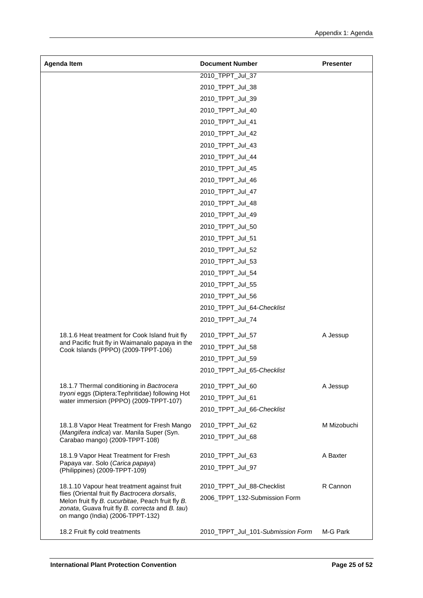| 2010_TPPT_Jul_37<br>2010_TPPT_Jul_38<br>2010_TPPT_Jul_39<br>2010_TPPT_Jul_40<br>2010_TPPT_Jul_41<br>2010_TPPT_Jul_42<br>2010_TPPT_Jul_43<br>2010_TPPT_Jul_44<br>2010_TPPT_Jul_45<br>2010_TPPT_Jul_46<br>2010_TPPT_Jul_47<br>2010_TPPT_Jul_48<br>2010_TPPT_Jul_49<br>2010_TPPT_Jul_50<br>2010_TPPT_Jul_51<br>2010_TPPT_Jul_52<br>2010_TPPT_Jul_53<br>2010_TPPT_Jul_54<br>2010_TPPT_Jul_55<br>2010_TPPT_Jul_56<br>2010_TPPT_Jul_64-Checklist<br>2010_TPPT_Jul_74<br>18.1.6 Heat treatment for Cook Island fruit fly<br>2010_TPPT_Jul_57<br>A Jessup<br>and Pacific fruit fly in Waimanalo papaya in the<br>2010_TPPT_Jul_58<br>Cook Islands (PPPO) (2009-TPPT-106)<br>2010_TPPT_Jul_59<br>2010_TPPT_Jul_65-Checklist<br>18.1.7 Thermal conditioning in Bactrocera<br>A Jessup<br>2010 TPPT Jul 60<br>tryoni eggs (Diptera: Tephritidae) following Hot<br>2010_TPPT_Jul_61<br>water immersion (PPPO) (2009-TPPT-107)<br>2010_TPPT_Jul_66-Checklist<br>M Mizobuchi<br>18.1.8 Vapor Heat Treatment for Fresh Mango<br>2010_TPPT_Jul_62<br>(Mangifera indica) var. Manila Super (Syn.<br>2010_TPPT_Jul_68<br>Carabao mango) (2009-TPPT-108)<br>A Baxter<br>18.1.9 Vapor Heat Treatment for Fresh<br>2010_TPPT_Jul_63<br>Papaya var. Solo (Carica papaya)<br>2010_TPPT_Jul_97<br>(Philippines) (2009-TPPT-109)<br>18.1.10 Vapour heat treatment against fruit<br>2010_TPPT_Jul_88-Checklist<br>R Cannon<br>flies (Oriental fruit fly Bactrocera dorsalis,<br>2006_TPPT_132-Submission Form<br>Melon fruit fly B. cucurbitae, Peach fruit fly B.<br>zonata, Guava fruit fly B. correcta and B. tau)<br>on mango (India) (2006-TPPT-132) | <b>Agenda Item</b> | <b>Document Number</b> | <b>Presenter</b> |
|---------------------------------------------------------------------------------------------------------------------------------------------------------------------------------------------------------------------------------------------------------------------------------------------------------------------------------------------------------------------------------------------------------------------------------------------------------------------------------------------------------------------------------------------------------------------------------------------------------------------------------------------------------------------------------------------------------------------------------------------------------------------------------------------------------------------------------------------------------------------------------------------------------------------------------------------------------------------------------------------------------------------------------------------------------------------------------------------------------------------------------------------------------------------------------------------------------------------------------------------------------------------------------------------------------------------------------------------------------------------------------------------------------------------------------------------------------------------------------------------------------------------------------------------------------------------------------------------------------------------------------|--------------------|------------------------|------------------|
|                                                                                                                                                                                                                                                                                                                                                                                                                                                                                                                                                                                                                                                                                                                                                                                                                                                                                                                                                                                                                                                                                                                                                                                                                                                                                                                                                                                                                                                                                                                                                                                                                                 |                    |                        |                  |
|                                                                                                                                                                                                                                                                                                                                                                                                                                                                                                                                                                                                                                                                                                                                                                                                                                                                                                                                                                                                                                                                                                                                                                                                                                                                                                                                                                                                                                                                                                                                                                                                                                 |                    |                        |                  |
|                                                                                                                                                                                                                                                                                                                                                                                                                                                                                                                                                                                                                                                                                                                                                                                                                                                                                                                                                                                                                                                                                                                                                                                                                                                                                                                                                                                                                                                                                                                                                                                                                                 |                    |                        |                  |
|                                                                                                                                                                                                                                                                                                                                                                                                                                                                                                                                                                                                                                                                                                                                                                                                                                                                                                                                                                                                                                                                                                                                                                                                                                                                                                                                                                                                                                                                                                                                                                                                                                 |                    |                        |                  |
|                                                                                                                                                                                                                                                                                                                                                                                                                                                                                                                                                                                                                                                                                                                                                                                                                                                                                                                                                                                                                                                                                                                                                                                                                                                                                                                                                                                                                                                                                                                                                                                                                                 |                    |                        |                  |
|                                                                                                                                                                                                                                                                                                                                                                                                                                                                                                                                                                                                                                                                                                                                                                                                                                                                                                                                                                                                                                                                                                                                                                                                                                                                                                                                                                                                                                                                                                                                                                                                                                 |                    |                        |                  |
|                                                                                                                                                                                                                                                                                                                                                                                                                                                                                                                                                                                                                                                                                                                                                                                                                                                                                                                                                                                                                                                                                                                                                                                                                                                                                                                                                                                                                                                                                                                                                                                                                                 |                    |                        |                  |
|                                                                                                                                                                                                                                                                                                                                                                                                                                                                                                                                                                                                                                                                                                                                                                                                                                                                                                                                                                                                                                                                                                                                                                                                                                                                                                                                                                                                                                                                                                                                                                                                                                 |                    |                        |                  |
|                                                                                                                                                                                                                                                                                                                                                                                                                                                                                                                                                                                                                                                                                                                                                                                                                                                                                                                                                                                                                                                                                                                                                                                                                                                                                                                                                                                                                                                                                                                                                                                                                                 |                    |                        |                  |
|                                                                                                                                                                                                                                                                                                                                                                                                                                                                                                                                                                                                                                                                                                                                                                                                                                                                                                                                                                                                                                                                                                                                                                                                                                                                                                                                                                                                                                                                                                                                                                                                                                 |                    |                        |                  |
|                                                                                                                                                                                                                                                                                                                                                                                                                                                                                                                                                                                                                                                                                                                                                                                                                                                                                                                                                                                                                                                                                                                                                                                                                                                                                                                                                                                                                                                                                                                                                                                                                                 |                    |                        |                  |
|                                                                                                                                                                                                                                                                                                                                                                                                                                                                                                                                                                                                                                                                                                                                                                                                                                                                                                                                                                                                                                                                                                                                                                                                                                                                                                                                                                                                                                                                                                                                                                                                                                 |                    |                        |                  |
|                                                                                                                                                                                                                                                                                                                                                                                                                                                                                                                                                                                                                                                                                                                                                                                                                                                                                                                                                                                                                                                                                                                                                                                                                                                                                                                                                                                                                                                                                                                                                                                                                                 |                    |                        |                  |
|                                                                                                                                                                                                                                                                                                                                                                                                                                                                                                                                                                                                                                                                                                                                                                                                                                                                                                                                                                                                                                                                                                                                                                                                                                                                                                                                                                                                                                                                                                                                                                                                                                 |                    |                        |                  |
|                                                                                                                                                                                                                                                                                                                                                                                                                                                                                                                                                                                                                                                                                                                                                                                                                                                                                                                                                                                                                                                                                                                                                                                                                                                                                                                                                                                                                                                                                                                                                                                                                                 |                    |                        |                  |
|                                                                                                                                                                                                                                                                                                                                                                                                                                                                                                                                                                                                                                                                                                                                                                                                                                                                                                                                                                                                                                                                                                                                                                                                                                                                                                                                                                                                                                                                                                                                                                                                                                 |                    |                        |                  |
|                                                                                                                                                                                                                                                                                                                                                                                                                                                                                                                                                                                                                                                                                                                                                                                                                                                                                                                                                                                                                                                                                                                                                                                                                                                                                                                                                                                                                                                                                                                                                                                                                                 |                    |                        |                  |
|                                                                                                                                                                                                                                                                                                                                                                                                                                                                                                                                                                                                                                                                                                                                                                                                                                                                                                                                                                                                                                                                                                                                                                                                                                                                                                                                                                                                                                                                                                                                                                                                                                 |                    |                        |                  |
|                                                                                                                                                                                                                                                                                                                                                                                                                                                                                                                                                                                                                                                                                                                                                                                                                                                                                                                                                                                                                                                                                                                                                                                                                                                                                                                                                                                                                                                                                                                                                                                                                                 |                    |                        |                  |
|                                                                                                                                                                                                                                                                                                                                                                                                                                                                                                                                                                                                                                                                                                                                                                                                                                                                                                                                                                                                                                                                                                                                                                                                                                                                                                                                                                                                                                                                                                                                                                                                                                 |                    |                        |                  |
|                                                                                                                                                                                                                                                                                                                                                                                                                                                                                                                                                                                                                                                                                                                                                                                                                                                                                                                                                                                                                                                                                                                                                                                                                                                                                                                                                                                                                                                                                                                                                                                                                                 |                    |                        |                  |
|                                                                                                                                                                                                                                                                                                                                                                                                                                                                                                                                                                                                                                                                                                                                                                                                                                                                                                                                                                                                                                                                                                                                                                                                                                                                                                                                                                                                                                                                                                                                                                                                                                 |                    |                        |                  |
|                                                                                                                                                                                                                                                                                                                                                                                                                                                                                                                                                                                                                                                                                                                                                                                                                                                                                                                                                                                                                                                                                                                                                                                                                                                                                                                                                                                                                                                                                                                                                                                                                                 |                    |                        |                  |
|                                                                                                                                                                                                                                                                                                                                                                                                                                                                                                                                                                                                                                                                                                                                                                                                                                                                                                                                                                                                                                                                                                                                                                                                                                                                                                                                                                                                                                                                                                                                                                                                                                 |                    |                        |                  |
|                                                                                                                                                                                                                                                                                                                                                                                                                                                                                                                                                                                                                                                                                                                                                                                                                                                                                                                                                                                                                                                                                                                                                                                                                                                                                                                                                                                                                                                                                                                                                                                                                                 |                    |                        |                  |
|                                                                                                                                                                                                                                                                                                                                                                                                                                                                                                                                                                                                                                                                                                                                                                                                                                                                                                                                                                                                                                                                                                                                                                                                                                                                                                                                                                                                                                                                                                                                                                                                                                 |                    |                        |                  |
|                                                                                                                                                                                                                                                                                                                                                                                                                                                                                                                                                                                                                                                                                                                                                                                                                                                                                                                                                                                                                                                                                                                                                                                                                                                                                                                                                                                                                                                                                                                                                                                                                                 |                    |                        |                  |
|                                                                                                                                                                                                                                                                                                                                                                                                                                                                                                                                                                                                                                                                                                                                                                                                                                                                                                                                                                                                                                                                                                                                                                                                                                                                                                                                                                                                                                                                                                                                                                                                                                 |                    |                        |                  |
|                                                                                                                                                                                                                                                                                                                                                                                                                                                                                                                                                                                                                                                                                                                                                                                                                                                                                                                                                                                                                                                                                                                                                                                                                                                                                                                                                                                                                                                                                                                                                                                                                                 |                    |                        |                  |
|                                                                                                                                                                                                                                                                                                                                                                                                                                                                                                                                                                                                                                                                                                                                                                                                                                                                                                                                                                                                                                                                                                                                                                                                                                                                                                                                                                                                                                                                                                                                                                                                                                 |                    |                        |                  |
|                                                                                                                                                                                                                                                                                                                                                                                                                                                                                                                                                                                                                                                                                                                                                                                                                                                                                                                                                                                                                                                                                                                                                                                                                                                                                                                                                                                                                                                                                                                                                                                                                                 |                    |                        |                  |
|                                                                                                                                                                                                                                                                                                                                                                                                                                                                                                                                                                                                                                                                                                                                                                                                                                                                                                                                                                                                                                                                                                                                                                                                                                                                                                                                                                                                                                                                                                                                                                                                                                 |                    |                        |                  |
|                                                                                                                                                                                                                                                                                                                                                                                                                                                                                                                                                                                                                                                                                                                                                                                                                                                                                                                                                                                                                                                                                                                                                                                                                                                                                                                                                                                                                                                                                                                                                                                                                                 |                    |                        |                  |
|                                                                                                                                                                                                                                                                                                                                                                                                                                                                                                                                                                                                                                                                                                                                                                                                                                                                                                                                                                                                                                                                                                                                                                                                                                                                                                                                                                                                                                                                                                                                                                                                                                 |                    |                        |                  |
|                                                                                                                                                                                                                                                                                                                                                                                                                                                                                                                                                                                                                                                                                                                                                                                                                                                                                                                                                                                                                                                                                                                                                                                                                                                                                                                                                                                                                                                                                                                                                                                                                                 |                    |                        |                  |
|                                                                                                                                                                                                                                                                                                                                                                                                                                                                                                                                                                                                                                                                                                                                                                                                                                                                                                                                                                                                                                                                                                                                                                                                                                                                                                                                                                                                                                                                                                                                                                                                                                 |                    |                        |                  |
|                                                                                                                                                                                                                                                                                                                                                                                                                                                                                                                                                                                                                                                                                                                                                                                                                                                                                                                                                                                                                                                                                                                                                                                                                                                                                                                                                                                                                                                                                                                                                                                                                                 |                    |                        |                  |
|                                                                                                                                                                                                                                                                                                                                                                                                                                                                                                                                                                                                                                                                                                                                                                                                                                                                                                                                                                                                                                                                                                                                                                                                                                                                                                                                                                                                                                                                                                                                                                                                                                 |                    |                        |                  |
| 18.2 Fruit fly cold treatments<br>2010_TPPT_Jul_101-Submission Form<br>M-G Park                                                                                                                                                                                                                                                                                                                                                                                                                                                                                                                                                                                                                                                                                                                                                                                                                                                                                                                                                                                                                                                                                                                                                                                                                                                                                                                                                                                                                                                                                                                                                 |                    |                        |                  |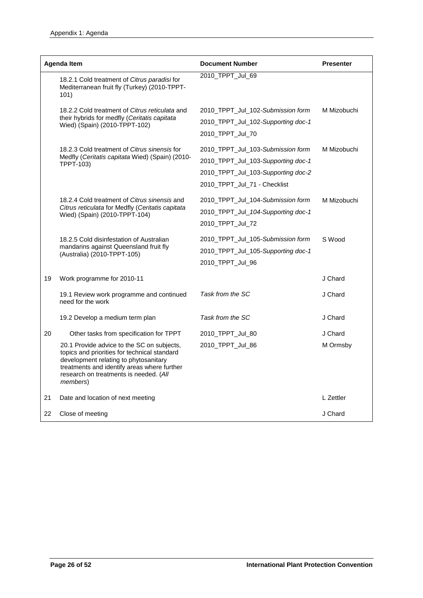|    | <b>Agenda Item</b>                                                                                                                                                                                                                               | <b>Document Number</b>                                                                                                                        | <b>Presenter</b> |  |
|----|--------------------------------------------------------------------------------------------------------------------------------------------------------------------------------------------------------------------------------------------------|-----------------------------------------------------------------------------------------------------------------------------------------------|------------------|--|
|    | 18.2.1 Cold treatment of Citrus paradisi for<br>Mediterranean fruit fly (Turkey) (2010-TPPT-<br>101)                                                                                                                                             | 2010_TPPT_Jul_69                                                                                                                              |                  |  |
|    | 18.2.2 Cold treatment of Citrus reticulata and<br>their hybrids for medfly (Ceritatis capitata<br>Wied) (Spain) (2010-TPPT-102)                                                                                                                  | 2010_TPPT_Jul_102-Submission form<br>2010_TPPT_Jul_102-Supporting doc-1<br>2010 TPPT Jul 70                                                   | M Mizobuchi      |  |
|    | 18.2.3 Cold treatment of Citrus sinensis for<br>Medfly (Ceritatis capitata Wied) (Spain) (2010-<br>TPPT-103)                                                                                                                                     | 2010_TPPT_Jul_103-Submission form<br>2010_TPPT_Jul_103-Supporting doc-1<br>2010_TPPT_Jul_103-Supporting doc-2<br>2010_TPPT_Jul_71 - Checklist | M Mizobuchi      |  |
|    | 18.2.4 Cold treatment of Citrus sinensis and<br>Citrus reticulata for Medfly (Ceritatis capitata<br>Wied) (Spain) (2010-TPPT-104)                                                                                                                | 2010_TPPT_Jul_104-Submission form<br>2010_TPPT_Jul_104-Supporting doc-1<br>2010_TPPT_Jul_72                                                   | M Mizobuchi      |  |
|    | 18.2.5 Cold disinfestation of Australian<br>mandarins against Queensland fruit fly<br>(Australia) (2010-TPPT-105)                                                                                                                                | 2010_TPPT_Jul_105-Submission form<br>2010_TPPT_Jul_105-Supporting doc-1<br>2010_TPPT_Jul_96                                                   | S Wood           |  |
| 19 | Work programme for 2010-11                                                                                                                                                                                                                       |                                                                                                                                               | J Chard          |  |
|    | 19.1 Review work programme and continued<br>need for the work                                                                                                                                                                                    | Task from the SC                                                                                                                              | J Chard          |  |
|    | 19.2 Develop a medium term plan                                                                                                                                                                                                                  | Task from the SC                                                                                                                              | J Chard          |  |
| 20 | Other tasks from specification for TPPT                                                                                                                                                                                                          | 2010_TPPT_Jul_80                                                                                                                              | J Chard          |  |
|    | 20.1 Provide advice to the SC on subjects,<br>topics and priorities for technical standard<br>development relating to phytosanitary<br>treatments and identify areas where further<br>research on treatments is needed. (All<br><i>members</i> ) | 2010_TPPT_Jul_86                                                                                                                              | M Ormsby         |  |
| 21 | Date and location of next meeting                                                                                                                                                                                                                |                                                                                                                                               | L Zettler        |  |
| 22 | Close of meeting                                                                                                                                                                                                                                 |                                                                                                                                               | J Chard          |  |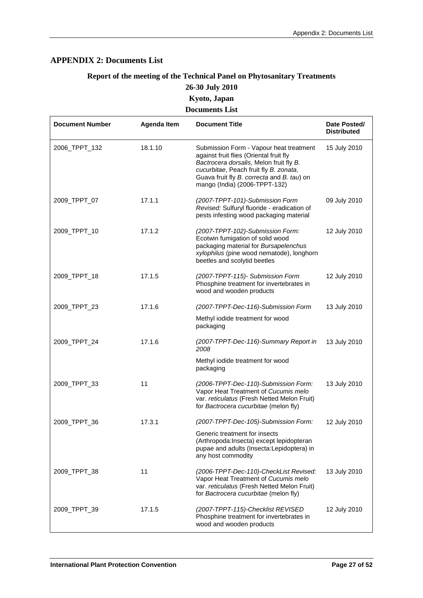# <span id="page-26-0"></span>**APPENDIX 2: Documents List**

# **Report of the meeting of the Technical Panel on Phytosanitary Treatments 26-30 July 2010 Kyoto, Japan**

#### **Documents List**

| <b>Document Number</b> | <b>Agenda Item</b> | <b>Document Title</b>                                                                                                                                                                                                                                  | Date Posted/<br><b>Distributed</b> |
|------------------------|--------------------|--------------------------------------------------------------------------------------------------------------------------------------------------------------------------------------------------------------------------------------------------------|------------------------------------|
| 2006_TPPT_132          | 18.1.10            | Submission Form - Vapour heat treatment<br>against fruit flies (Oriental fruit fly<br>Bactrocera dorsalis, Melon fruit fly B.<br>cucurbitae, Peach fruit fly B. zonata,<br>Guava fruit fly B. correcta and B. tau) on<br>mango (India) (2006-TPPT-132) | 15 July 2010                       |
| 2009_TPPT_07           | 17.1.1             | (2007-TPPT-101)-Submission Form<br>Revised: Sulfuryl fluoride - eradication of<br>pests infesting wood packaging material                                                                                                                              | 09 July 2010                       |
| 2009_TPPT_10           | 17.1.2             | (2007-TPPT-102)-Submission Form:<br>Ecotwin fumigation of solid wood<br>packaging material for Bursapelenchus<br>xylophilus (pine wood nematode), longhorn<br>beetles and scolytid beetles                                                             | 12 July 2010                       |
| 2009_TPPT_18           | 17.1.5             | (2007-TPPT-115)- Submission Form<br>Phosphine treatment for invertebrates in<br>wood and wooden products                                                                                                                                               | 12 July 2010                       |
| 2009_TPPT_23           | 17.1.6             | (2007-TPPT-Dec-116)-Submission Form<br>Methyl iodide treatment for wood<br>packaging                                                                                                                                                                   | 13 July 2010                       |
| 2009_TPPT_24           | 17.1.6             | (2007-TPPT-Dec-116)-Summary Report in<br>2008<br>Methyl iodide treatment for wood<br>packaging                                                                                                                                                         | 13 July 2010                       |
| 2009_TPPT_33           | 11                 | (2006-TPPT-Dec-110)-Submission Form:<br>Vapor Heat Treatment of Cucumis melo<br>var. reticulatus (Fresh Netted Melon Fruit)<br>for Bactrocera cucurbitae (melon fly)                                                                                   | 13 July 2010                       |
| 2009_TPPT_36           | 17.3.1             | (2007-TPPT-Dec-105)-Submission Form:<br>Generic treatment for insects<br>(Arthropoda:Insecta) except lepidopteran<br>pupae and adults (Insecta:Lepidoptera) in<br>any host commodity                                                                   | 12 July 2010                       |
| 2009_TPPT_38           | 11                 | (2006-TPPT-Dec-110)-CheckList Revised:<br>Vapor Heat Treatment of Cucumis melo<br>var. reticulatus (Fresh Netted Melon Fruit)<br>for Bactrocera cucurbitae (melon fly)                                                                                 | 13 July 2010                       |
| 2009_TPPT_39           | 17.1.5             | (2007-TPPT-115)-Checklist REVISED<br>Phosphine treatment for invertebrates in<br>wood and wooden products                                                                                                                                              | 12 July 2010                       |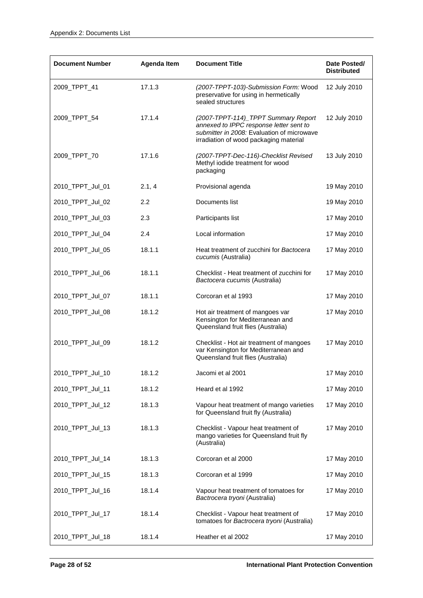| <b>Document Number</b> | <b>Agenda Item</b> | <b>Document Title</b>                                                                                                                                                  | Date Posted/<br><b>Distributed</b> |
|------------------------|--------------------|------------------------------------------------------------------------------------------------------------------------------------------------------------------------|------------------------------------|
| 2009_TPPT_41           | 17.1.3             | (2007-TPPT-103)-Submission Form: Wood<br>preservative for using in hermetically<br>sealed structures                                                                   | 12 July 2010                       |
| 2009_TPPT_54           | 17.1.4             | (2007-TPPT-114)_TPPT Summary Report<br>annexed to IPPC response letter sent to<br>submitter in 2008: Evaluation of microwave<br>irradiation of wood packaging material | 12 July 2010                       |
| 2009_TPPT_70           | 17.1.6             | (2007-TPPT-Dec-116)-Checklist Revised<br>Methyl iodide treatment for wood<br>packaging                                                                                 | 13 July 2010                       |
| 2010_TPPT_Jul_01       | 2.1, 4             | Provisional agenda                                                                                                                                                     | 19 May 2010                        |
| 2010_TPPT_Jul_02       | 2.2                | Documents list                                                                                                                                                         | 19 May 2010                        |
| 2010_TPPT_Jul_03       | 2.3                | Participants list                                                                                                                                                      | 17 May 2010                        |
| 2010_TPPT_Jul_04       | 2.4                | Local information                                                                                                                                                      | 17 May 2010                        |
| 2010_TPPT_Jul_05       | 18.1.1             | Heat treatment of zucchini for Bactocera<br>cucumis (Australia)                                                                                                        | 17 May 2010                        |
| 2010_TPPT_Jul_06       | 18.1.1             | Checklist - Heat treatment of zucchini for<br>Bactocera cucumis (Australia)                                                                                            | 17 May 2010                        |
| 2010_TPPT_Jul_07       | 18.1.1             | Corcoran et al 1993                                                                                                                                                    | 17 May 2010                        |
| 2010_TPPT_Jul_08       | 18.1.2             | Hot air treatment of mangoes var<br>Kensington for Mediterranean and<br>Queensland fruit flies (Australia)                                                             | 17 May 2010                        |
| 2010_TPPT_Jul_09       | 18.1.2             | Checklist - Hot air treatment of mangoes<br>var Kensington for Mediterranean and<br>Queensland fruit flies (Australia)                                                 | 17 May 2010                        |
| 2010_TPPT_Jul_10       | 18.1.2             | Jacomi et al 2001                                                                                                                                                      | 17 May 2010                        |
| 2010_TPPT_Jul_11       | 18.1.2             | Heard et al 1992                                                                                                                                                       | 17 May 2010                        |
| 2010_TPPT_Jul_12       | 18.1.3             | Vapour heat treatment of mango varieties<br>for Queensland fruit fly (Australia)                                                                                       | 17 May 2010                        |
| 2010_TPPT_Jul_13       | 18.1.3             | Checklist - Vapour heat treatment of<br>mango varieties for Queensland fruit fly<br>(Australia)                                                                        | 17 May 2010                        |
| 2010_TPPT_Jul_14       | 18.1.3             | Corcoran et al 2000                                                                                                                                                    | 17 May 2010                        |
| 2010_TPPT_Jul_15       | 18.1.3             | Corcoran et al 1999                                                                                                                                                    | 17 May 2010                        |
| 2010_TPPT_Jul_16       | 18.1.4             | Vapour heat treatment of tomatoes for<br>Bactrocera tryoni (Australia)                                                                                                 | 17 May 2010                        |
| 2010_TPPT_Jul_17       | 18.1.4             | Checklist - Vapour heat treatment of<br>tomatoes for Bactrocera tryoni (Australia)                                                                                     | 17 May 2010                        |
| 2010_TPPT_Jul_18       | 18.1.4             | Heather et al 2002                                                                                                                                                     | 17 May 2010                        |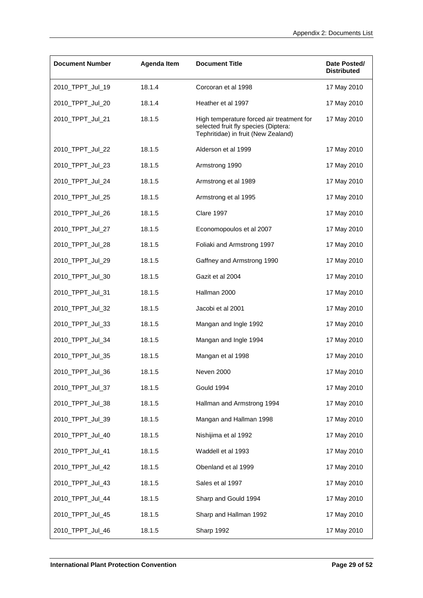| <b>Document Number</b> | Agenda Item | <b>Document Title</b>                                                                                                    | Date Posted/<br><b>Distributed</b> |
|------------------------|-------------|--------------------------------------------------------------------------------------------------------------------------|------------------------------------|
| 2010_TPPT_Jul_19       | 18.1.4      | Corcoran et al 1998                                                                                                      | 17 May 2010                        |
| 2010_TPPT_Jul_20       | 18.1.4      | Heather et al 1997                                                                                                       | 17 May 2010                        |
| 2010_TPPT_Jul_21       | 18.1.5      | High temperature forced air treatment for<br>selected fruit fly species (Diptera:<br>Tephritidae) in fruit (New Zealand) | 17 May 2010                        |
| 2010_TPPT_Jul_22       | 18.1.5      | Alderson et al 1999                                                                                                      | 17 May 2010                        |
| 2010_TPPT_Jul_23       | 18.1.5      | Armstrong 1990                                                                                                           | 17 May 2010                        |
| 2010_TPPT_Jul_24       | 18.1.5      | Armstrong et al 1989                                                                                                     | 17 May 2010                        |
| 2010_TPPT_Jul_25       | 18.1.5      | Armstrong et al 1995                                                                                                     | 17 May 2010                        |
| 2010_TPPT_Jul_26       | 18.1.5      | <b>Clare 1997</b>                                                                                                        | 17 May 2010                        |
| 2010_TPPT_Jul_27       | 18.1.5      | Economopoulos et al 2007                                                                                                 | 17 May 2010                        |
| 2010_TPPT_Jul_28       | 18.1.5      | Foliaki and Armstrong 1997                                                                                               | 17 May 2010                        |
| 2010_TPPT_Jul_29       | 18.1.5      | Gaffney and Armstrong 1990                                                                                               | 17 May 2010                        |
| 2010_TPPT_Jul_30       | 18.1.5      | Gazit et al 2004                                                                                                         | 17 May 2010                        |
| 2010_TPPT_Jul_31       | 18.1.5      | Hallman 2000                                                                                                             | 17 May 2010                        |
| 2010_TPPT_Jul_32       | 18.1.5      | Jacobi et al 2001                                                                                                        | 17 May 2010                        |
| 2010_TPPT_Jul_33       | 18.1.5      | Mangan and Ingle 1992                                                                                                    | 17 May 2010                        |
| 2010_TPPT_Jul_34       | 18.1.5      | Mangan and Ingle 1994                                                                                                    | 17 May 2010                        |
| 2010_TPPT_Jul_35       | 18.1.5      | Mangan et al 1998                                                                                                        | 17 May 2010                        |
| 2010_TPPT_Jul_36       | 18.1.5      | Neven 2000                                                                                                               | 17 May 2010                        |
| 2010_TPPT_Jul_37       | 18.1.5      | Gould 1994                                                                                                               | 17 May 2010                        |
| 2010_TPPT_Jul_38       | 18.1.5      | Hallman and Armstrong 1994                                                                                               | 17 May 2010                        |
| 2010_TPPT_Jul_39       | 18.1.5      | Mangan and Hallman 1998                                                                                                  | 17 May 2010                        |
| 2010_TPPT_Jul_40       | 18.1.5      | Nishijima et al 1992                                                                                                     | 17 May 2010                        |
| 2010_TPPT_Jul_41       | 18.1.5      | Waddell et al 1993                                                                                                       | 17 May 2010                        |
| 2010_TPPT_Jul_42       | 18.1.5      | Obenland et al 1999                                                                                                      | 17 May 2010                        |
| 2010_TPPT_Jul_43       | 18.1.5      | Sales et al 1997                                                                                                         | 17 May 2010                        |
| 2010_TPPT_Jul_44       | 18.1.5      | Sharp and Gould 1994                                                                                                     | 17 May 2010                        |
| 2010_TPPT_Jul_45       | 18.1.5      | Sharp and Hallman 1992                                                                                                   | 17 May 2010                        |
| 2010_TPPT_Jul_46       | 18.1.5      | Sharp 1992                                                                                                               | 17 May 2010                        |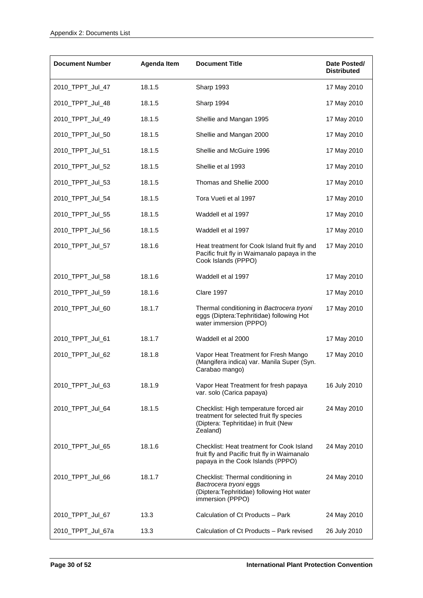| <b>Document Number</b> | Agenda Item | <b>Document Title</b>                                                                                                                  | Date Posted/<br><b>Distributed</b> |
|------------------------|-------------|----------------------------------------------------------------------------------------------------------------------------------------|------------------------------------|
| 2010_TPPT_Jul_47       | 18.1.5      | Sharp 1993                                                                                                                             | 17 May 2010                        |
| 2010_TPPT_Jul_48       | 18.1.5      | Sharp 1994                                                                                                                             | 17 May 2010                        |
| 2010_TPPT_Jul_49       | 18.1.5      | Shellie and Mangan 1995                                                                                                                | 17 May 2010                        |
| 2010_TPPT_Jul_50       | 18.1.5      | Shellie and Mangan 2000                                                                                                                | 17 May 2010                        |
| 2010_TPPT_Jul_51       | 18.1.5      | Shellie and McGuire 1996                                                                                                               | 17 May 2010                        |
| 2010_TPPT_Jul_52       | 18.1.5      | Shellie et al 1993                                                                                                                     | 17 May 2010                        |
| 2010_TPPT_Jul_53       | 18.1.5      | Thomas and Shellie 2000                                                                                                                | 17 May 2010                        |
| 2010_TPPT_Jul_54       | 18.1.5      | Tora Vueti et al 1997                                                                                                                  | 17 May 2010                        |
| 2010_TPPT_Jul_55       | 18.1.5      | Waddell et al 1997                                                                                                                     | 17 May 2010                        |
| 2010_TPPT_Jul_56       | 18.1.5      | Waddell et al 1997                                                                                                                     | 17 May 2010                        |
| 2010_TPPT_Jul_57       | 18.1.6      | Heat treatment for Cook Island fruit fly and<br>Pacific fruit fly in Waimanalo papaya in the<br>Cook Islands (PPPO)                    | 17 May 2010                        |
| 2010_TPPT_Jul_58       | 18.1.6      | Waddell et al 1997                                                                                                                     | 17 May 2010                        |
| 2010_TPPT_Jul_59       | 18.1.6      | <b>Clare 1997</b>                                                                                                                      | 17 May 2010                        |
| 2010_TPPT_Jul_60       | 18.1.7      | Thermal conditioning in Bactrocera tryoni<br>eggs (Diptera: Tephritidae) following Hot<br>water immersion (PPPO)                       | 17 May 2010                        |
| 2010_TPPT_Jul_61       | 18.1.7      | Waddell et al 2000                                                                                                                     | 17 May 2010                        |
| 2010_TPPT_Jul_62       | 18.1.8      | Vapor Heat Treatment for Fresh Mango<br>(Mangifera indica) var. Manila Super (Syn.<br>Carabao mango)                                   | 17 May 2010                        |
| 2010_TPPT_Jul_63       | 18.1.9      | Vapor Heat Treatment for fresh papaya<br>var. solo (Carica papaya)                                                                     | 16 July 2010                       |
| 2010_TPPT_Jul_64       | 18.1.5      | Checklist: High temperature forced air<br>treatment for selected fruit fly species<br>(Diptera: Tephritidae) in fruit (New<br>Zealand) | 24 May 2010                        |
| 2010_TPPT_Jul_65       | 18.1.6      | Checklist: Heat treatment for Cook Island<br>fruit fly and Pacific fruit fly in Waimanalo<br>papaya in the Cook Islands (PPPO)         | 24 May 2010                        |
| 2010_TPPT_Jul_66       | 18.1.7      | Checklist: Thermal conditioning in<br>Bactrocera tryoni eggs<br>(Diptera:Tephritidae) following Hot water<br>immersion (PPPO)          | 24 May 2010                        |
| 2010_TPPT_Jul_67       | 13.3        | Calculation of Ct Products - Park                                                                                                      | 24 May 2010                        |
| 2010_TPPT_Jul_67a      | 13.3        | Calculation of Ct Products - Park revised                                                                                              | 26 July 2010                       |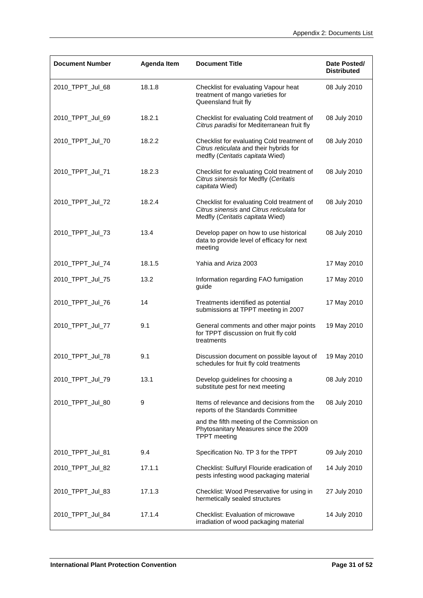| <b>Document Number</b> | Agenda Item | <b>Document Title</b>                                                                                                       | Date Posted/<br><b>Distributed</b> |
|------------------------|-------------|-----------------------------------------------------------------------------------------------------------------------------|------------------------------------|
| 2010_TPPT_Jul_68       | 18.1.8      | Checklist for evaluating Vapour heat<br>treatment of mango varieties for<br>Queensland fruit fly                            | 08 July 2010                       |
| 2010_TPPT_Jul_69       | 18.2.1      | Checklist for evaluating Cold treatment of<br>Citrus paradisi for Mediterranean fruit fly                                   | 08 July 2010                       |
| 2010_TPPT_Jul_70       | 18.2.2      | Checklist for evaluating Cold treatment of<br>Citrus reticulata and their hybrids for<br>medfly (Ceritatis capitata Wied)   | 08 July 2010                       |
| 2010_TPPT_Jul_71       | 18.2.3      | Checklist for evaluating Cold treatment of<br>Citrus sinensis for Medfly (Ceritatis<br>capitata Wied)                       | 08 July 2010                       |
| 2010_TPPT_Jul_72       | 18.2.4      | Checklist for evaluating Cold treatment of<br>Citrus sinensis and Citrus reticulata for<br>Medfly (Ceritatis capitata Wied) | 08 July 2010                       |
| 2010_TPPT_Jul_73       | 13.4        | Develop paper on how to use historical<br>data to provide level of efficacy for next<br>meeting                             | 08 July 2010                       |
| 2010_TPPT_Jul_74       | 18.1.5      | Yahia and Ariza 2003                                                                                                        | 17 May 2010                        |
| 2010_TPPT_Jul_75       | 13.2        | Information regarding FAO fumigation<br>guide                                                                               | 17 May 2010                        |
| 2010_TPPT_Jul_76       | 14          | Treatments identified as potential<br>submissions at TPPT meeting in 2007                                                   | 17 May 2010                        |
| 2010_TPPT_Jul_77       | 9.1         | General comments and other major points<br>for TPPT discussion on fruit fly cold<br>treatments                              | 19 May 2010                        |
| 2010_TPPT_Jul_78       | 9.1         | Discussion document on possible layout of<br>schedules for fruit fly cold treatments                                        | 19 May 2010                        |
| 2010_TPPT_Jul_79       | 13.1        | Develop guidelines for choosing a<br>substitute pest for next meeting                                                       | 08 July 2010                       |
| 2010_TPPT_Jul_80       | 9           | Items of relevance and decisions from the<br>reports of the Standards Committee                                             | 08 July 2010                       |
|                        |             | and the fifth meeting of the Commission on<br>Phytosanitary Measures since the 2009<br><b>TPPT</b> meeting                  |                                    |
| 2010_TPPT_Jul_81       | 9.4         | Specification No. TP 3 for the TPPT                                                                                         | 09 July 2010                       |
| 2010_TPPT_Jul_82       | 17.1.1      | Checklist: Sulfuryl Flouride eradication of<br>pests infesting wood packaging material                                      | 14 July 2010                       |
| 2010_TPPT_Jul_83       | 17.1.3      | Checklist: Wood Preservative for using in<br>hermetically sealed structures                                                 | 27 July 2010                       |
| 2010_TPPT_Jul_84       | 17.1.4      | <b>Checklist: Evaluation of microwave</b><br>irradiation of wood packaging material                                         | 14 July 2010                       |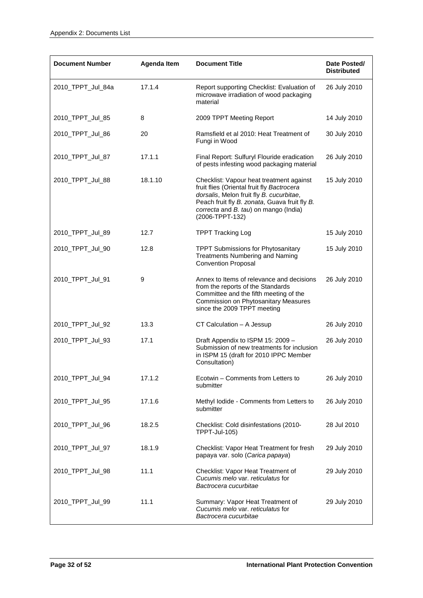| <b>Document Number</b> | Agenda Item | <b>Document Title</b>                                                                                                                                                                                                                           | Date Posted/<br><b>Distributed</b> |
|------------------------|-------------|-------------------------------------------------------------------------------------------------------------------------------------------------------------------------------------------------------------------------------------------------|------------------------------------|
| 2010_TPPT_Jul_84a      | 17.1.4      | Report supporting Checklist: Evaluation of<br>microwave irradiation of wood packaging<br>material                                                                                                                                               | 26 July 2010                       |
| 2010_TPPT_Jul_85       | 8           | 2009 TPPT Meeting Report                                                                                                                                                                                                                        | 14 July 2010                       |
| 2010_TPPT_Jul_86       | 20          | Ramsfield et al 2010: Heat Treatment of<br>Fungi in Wood                                                                                                                                                                                        | 30 July 2010                       |
| 2010_TPPT_Jul_87       | 17.1.1      | Final Report: Sulfuryl Flouride eradication<br>of pests infesting wood packaging material                                                                                                                                                       | 26 July 2010                       |
| 2010_TPPT_Jul_88       | 18.1.10     | Checklist: Vapour heat treatment against<br>fruit flies (Oriental fruit fly Bactrocera<br>dorsalis, Melon fruit fly B. cucurbitae,<br>Peach fruit fly B. zonata, Guava fruit fly B.<br>correcta and B. tau) on mango (India)<br>(2006-TPPT-132) | 15 July 2010                       |
| 2010_TPPT_Jul_89       | 12.7        | <b>TPPT Tracking Log</b>                                                                                                                                                                                                                        | 15 July 2010                       |
| 2010_TPPT_Jul_90       | 12.8        | <b>TPPT Submissions for Phytosanitary</b><br><b>Treatments Numbering and Naming</b><br><b>Convention Proposal</b>                                                                                                                               | 15 July 2010                       |
| 2010_TPPT_Jul_91       | 9           | Annex to Items of relevance and decisions<br>from the reports of the Standards<br>Committee and the fifth meeting of the<br>Commission on Phytosanitary Measures<br>since the 2009 TPPT meeting                                                 | 26 July 2010                       |
| 2010_TPPT_Jul_92       | 13.3        | CT Calculation - A Jessup                                                                                                                                                                                                                       | 26 July 2010                       |
| 2010_TPPT_Jul_93       | 17.1        | Draft Appendix to ISPM 15: 2009 -<br>Submission of new treatments for inclusion<br>in ISPM 15 (draft for 2010 IPPC Member<br>Consultation)                                                                                                      | 26 July 2010                       |
| 2010_TPPT_Jul_94       | 17.1.2      | Ecotwin - Comments from Letters to<br>submitter                                                                                                                                                                                                 | 26 July 2010                       |
| 2010_TPPT_Jul_95       | 17.1.6      | Methyl lodide - Comments from Letters to<br>submitter                                                                                                                                                                                           | 26 July 2010                       |
| 2010_TPPT_Jul_96       | 18.2.5      | Checklist: Cold disinfestations (2010-<br>TPPT-Jul-105)                                                                                                                                                                                         | 28 Jul 2010                        |
| 2010_TPPT_Jul_97       | 18.1.9      | Checklist: Vapor Heat Treatment for fresh<br>papaya var. solo (Carica papaya)                                                                                                                                                                   | 29 July 2010                       |
| 2010_TPPT_Jul_98       | 11.1        | Checklist: Vapor Heat Treatment of<br>Cucumis melo var. reticulatus for<br>Bactrocera cucurbitae                                                                                                                                                | 29 July 2010                       |
| 2010_TPPT_Jul_99       | 11.1        | Summary: Vapor Heat Treatment of<br>Cucumis melo var. reticulatus for<br>Bactrocera cucurbitae                                                                                                                                                  | 29 July 2010                       |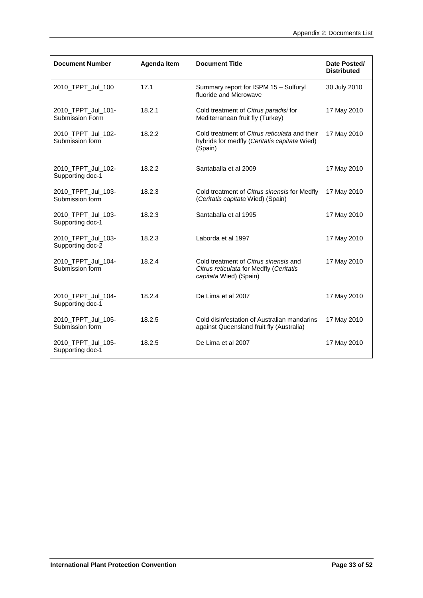| <b>Document Number</b>                 | Agenda Item | <b>Document Title</b>                                                                                      | Date Posted/<br><b>Distributed</b> |
|----------------------------------------|-------------|------------------------------------------------------------------------------------------------------------|------------------------------------|
| 2010_TPPT_Jul_100                      | 17.1        | Summary report for ISPM 15 - Sulfuryl<br>fluoride and Microwave                                            | 30 July 2010                       |
| 2010_TPPT_Jul_101-<br>Submission Form  | 18.2.1      | Cold treatment of Citrus paradisi for<br>Mediterranean fruit fly (Turkey)                                  | 17 May 2010                        |
| 2010_TPPT_Jul_102-<br>Submission form  | 18.2.2      | Cold treatment of Citrus reticulata and their<br>hybrids for medfly (Ceritatis capitata Wied)<br>(Spain)   | 17 May 2010                        |
| 2010_TPPT_Jul_102-<br>Supporting doc-1 | 18.2.2      | Santaballa et al 2009                                                                                      | 17 May 2010                        |
| 2010_TPPT_Jul_103-<br>Submission form  | 18.2.3      | Cold treatment of Citrus sinensis for Medfly<br>(Ceritatis capitata Wied) (Spain)                          | 17 May 2010                        |
| 2010_TPPT_Jul_103-<br>Supporting doc-1 | 18.2.3      | Santaballa et al 1995                                                                                      | 17 May 2010                        |
| 2010_TPPT_Jul_103-<br>Supporting doc-2 | 18.2.3      | Laborda et al 1997                                                                                         | 17 May 2010                        |
| 2010_TPPT_Jul_104-<br>Submission form  | 18.2.4      | Cold treatment of Citrus sinensis and<br>Citrus reticulata for Medfly (Ceritatis<br>capitata Wied) (Spain) | 17 May 2010                        |
| 2010_TPPT_Jul_104-<br>Supporting doc-1 | 18.2.4      | De Lima et al 2007                                                                                         | 17 May 2010                        |
| 2010_TPPT_Jul_105-<br>Submission form  | 18.2.5      | Cold disinfestation of Australian mandarins<br>against Queensland fruit fly (Australia)                    | 17 May 2010                        |
| 2010_TPPT_Jul_105-<br>Supporting doc-1 | 18.2.5      | De Lima et al 2007                                                                                         | 17 May 2010                        |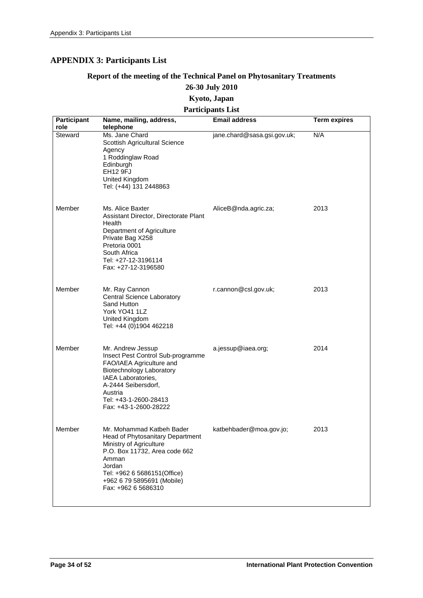# <span id="page-33-0"></span>**APPENDIX 3: Participants List**

# **Report of the meeting of the Technical Panel on Phytosanitary Treatments 26-30 July 2010**

# **Kyoto, Japan**

# **Participants List**

| <b>Participant</b> | Name, mailing, address,                                                                                                                                                                                                          | <b>Email address</b>        | <b>Term expires</b> |
|--------------------|----------------------------------------------------------------------------------------------------------------------------------------------------------------------------------------------------------------------------------|-----------------------------|---------------------|
| role<br>Steward    | telephone<br>Ms. Jane Chard<br>Scottish Agricultural Science<br>Agency<br>1 Roddinglaw Road<br>Edinburgh<br><b>EH12 9FJ</b><br>United Kingdom<br>Tel: (+44) 131 2448863                                                          | jane.chard@sasa.gsi.gov.uk; | N/A                 |
| Member             | Ms. Alice Baxter<br>Assistant Director, Directorate Plant<br>Health<br>Department of Agriculture<br>Private Bag X258<br>Pretoria 0001<br>South Africa<br>Tel: +27-12-3196114<br>Fax: +27-12-3196580                              | AliceB@nda.agric.za;        | 2013                |
| Member             | Mr. Ray Cannon<br>Central Science Laboratory<br>Sand Hutton<br>York YO41 1LZ<br>United Kingdom<br>Tel: +44 (0)1904 462218                                                                                                        | r.cannon@csl.gov.uk;        | 2013                |
| Member             | Mr. Andrew Jessup<br>Insect Pest Control Sub-programme<br>FAO/IAEA Agriculture and<br><b>Biotechnology Laboratory</b><br>IAEA Laboratories,<br>A-2444 Seibersdorf,<br>Austria<br>Tel: +43-1-2600-28413<br>Fax: +43-1-2600-28222  | a.jessup@iaea.org;          | 2014                |
| Member             | Mr. Mohammad Katbeh Bader<br>Head of Phytosanitary Department<br>Ministry of Agriculture<br>P.O. Box 11732, Area code 662<br>Amman<br>Jordan<br>Tel: +962 6 5686151(Office)<br>+962 6 79 5895691 (Mobile)<br>Fax: +962 6 5686310 | katbehbader@moa.gov.jo;     | 2013                |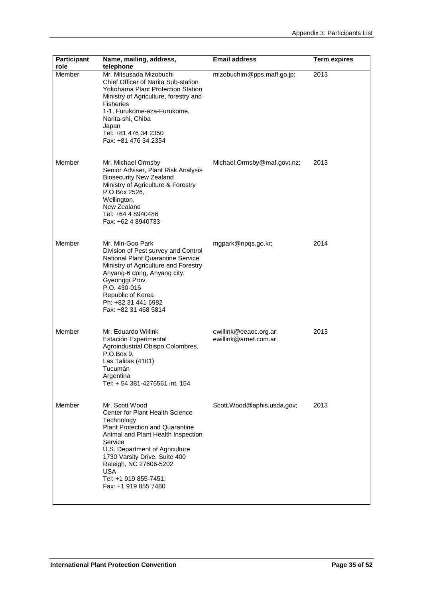| <b>Participant</b><br>role | Name, mailing, address,<br>telephone                                                                                                                                                                                                                                                                            | <b>Email address</b>                             | <b>Term expires</b> |
|----------------------------|-----------------------------------------------------------------------------------------------------------------------------------------------------------------------------------------------------------------------------------------------------------------------------------------------------------------|--------------------------------------------------|---------------------|
| Member                     | Mr. Mitsusada Mizobuchi<br>Chief Officer of Narita Sub-station<br><b>Yokohama Plant Protection Station</b><br>Ministry of Agriculture, forestry and<br><b>Fisheries</b><br>1-1, Furukome-aza-Furukome,<br>Narita-shi, Chiba<br>Japan<br>Tel: +81 476 34 2350<br>Fax: +81 476 34 2354                            | mizobuchim@pps.maff.go.jp;                       | 2013                |
| Member                     | Mr. Michael Ormsby<br>Senior Adviser, Plant Risk Analysis<br><b>Biosecurity New Zealand</b><br>Ministry of Agriculture & Forestry<br>P.O Box 2526,<br>Wellington,<br>New Zealand<br>Tel: +64 4 8940486<br>Fax: +62 4 8940733                                                                                    | Michael.Ormsby@maf.govt.nz;                      | 2013                |
| Member                     | Mr. Min-Goo Park<br>Division of Pest survey and Control<br><b>National Plant Quarantine Service</b><br>Ministry of Agriculture and Forestry<br>Anyang-6 dong, Anyang city,<br>Gyeonggi Prov.<br>P.O. 430-016<br>Republic of Korea<br>Ph: +82 31 441 6982<br>Fax: +82 31 468 5814                                | mgpark@npqs.go.kr;                               | 2014                |
| Member                     | Mr. Eduardo Willink<br>Estación Experimental<br>Agroindustrial Obispo Colombres,<br>P.O.Box 9,<br>Las Talitas (4101)<br>Tucumán<br>Argentina<br>Tel: + 54 381-4276561 int. 154                                                                                                                                  | ewillink@eeaoc.org.ar;<br>ewillink@arnet.com.ar; | 2013                |
| Member                     | Mr. Scott Wood<br>Center for Plant Health Science<br>Technology<br>Plant Protection and Quarantine<br>Animal and Plant Health Inspection<br>Service<br>U.S. Department of Agriculture<br>1730 Varsity Drive, Suite 400<br>Raleigh, NC 27606-5202<br><b>USA</b><br>Tel: +1 919 855-7451;<br>Fax: +1 919 855 7480 | Scott.Wood@aphis.usda.gov;                       | 2013                |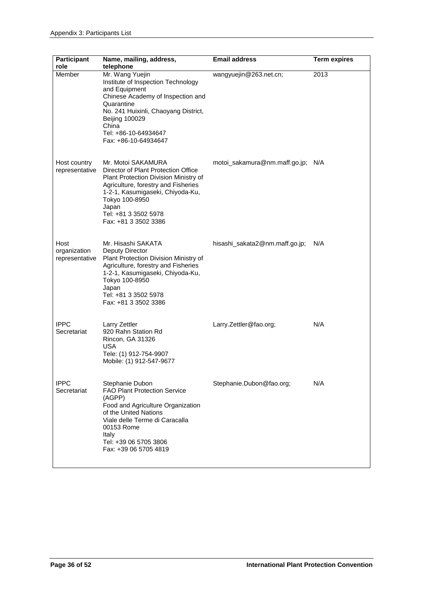| <b>Participant</b><br>role             | Name, mailing, address,<br>telephone                                                                                                                                                                                                                     | <b>Email address</b>              | <b>Term expires</b> |
|----------------------------------------|----------------------------------------------------------------------------------------------------------------------------------------------------------------------------------------------------------------------------------------------------------|-----------------------------------|---------------------|
| Member                                 | Mr. Wang Yuejin<br>Institute of Inspection Technology<br>and Equipment<br>Chinese Academy of Inspection and<br>Quarantine<br>No. 241 Huixinli, Chaoyang District,<br><b>Beijing 100029</b><br>China<br>Tel: +86-10-64934647<br>Fax: +86-10-64934647      | wangyuejin@263.net.cn;            | 2013                |
| Host country<br>representative         | Mr. Motoi SAKAMURA<br>Director of Plant Protection Office<br>Plant Protection Division Ministry of<br>Agriculture, forestry and Fisheries<br>1-2-1, Kasumigaseki, Chiyoda-Ku,<br>Tokyo 100-8950<br>Japan<br>Tel: +81 3 3502 5978<br>Fax: +81 3 3502 3386 | motoi_sakamura@nm.maff.go.jp; N/A |                     |
| Host<br>organization<br>representative | Mr. Hisashi SAKATA<br>Deputy Director<br>Plant Protection Division Ministry of<br>Agriculture, forestry and Fisheries<br>1-2-1, Kasumigaseki, Chiyoda-Ku,<br>Tokyo 100-8950<br>Japan<br>Tel: +81 3 3502 5978<br>Fax: +81 3 3502 3386                     | hisashi_sakata2@nm.maff.go.jp;    | N/A                 |
| <b>IPPC</b><br>Secretariat             | Larry Zettler<br>920 Rahn Station Rd<br>Rincon, GA 31326<br><b>USA</b><br>Tele: (1) 912-754-9907<br>Mobile: (1) 912-547-9677                                                                                                                             | Larry.Zettler@fao.org;            | N/A                 |
| <b>IPPC</b><br>Secretariat             | Stephanie Dubon<br><b>FAO Plant Protection Service</b><br>(AGPP)<br>Food and Agriculture Organization<br>of the United Nations<br>Viale delle Terme di Caracalla<br>00153 Rome<br>Italy<br>Tel: +39 06 5705 3806<br>Fax: +39 06 5705 4819                | Stephanie.Dubon@fao.org;          | N/A                 |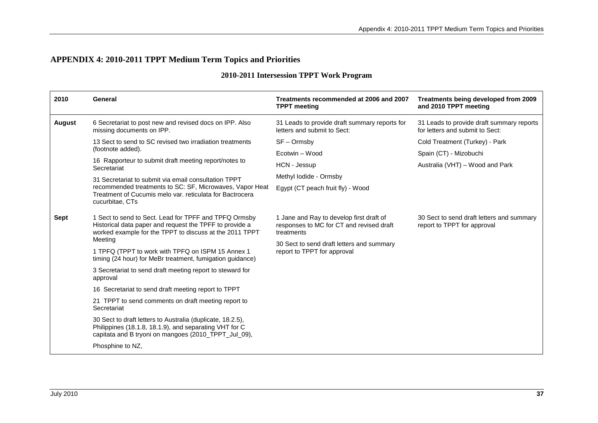# **APPENDIX 4: 2010-2011 TPPT Medium Term Topics and Priorities**

|  | 2010-2011 Intersession TPPT Work Program |  |  |  |
|--|------------------------------------------|--|--|--|
|--|------------------------------------------|--|--|--|

<span id="page-36-0"></span>

| 2010          | General                                                                                                                                                                      | Treatments recommended at 2006 and 2007<br><b>TPPT</b> meeting                                     | Treatments being developed from 2009<br>and 2010 TPPT meeting                |
|---------------|------------------------------------------------------------------------------------------------------------------------------------------------------------------------------|----------------------------------------------------------------------------------------------------|------------------------------------------------------------------------------|
| <b>August</b> | 6 Secretariat to post new and revised docs on IPP. Also<br>missing documents on IPP.                                                                                         | 31 Leads to provide draft summary reports for<br>letters and submit to Sect:                       | 31 Leads to provide draft summary reports<br>for letters and submit to Sect: |
|               | 13 Sect to send to SC revised two irradiation treatments<br>(footnote added).                                                                                                | $SF - Ormsby$                                                                                      | Cold Treatment (Turkey) - Park                                               |
|               |                                                                                                                                                                              | Ecotwin - Wood                                                                                     | Spain (CT) - Mizobuchi                                                       |
|               | 16 Rapporteur to submit draft meeting report/notes to<br>Secretariat                                                                                                         | HCN - Jessup                                                                                       | Australia (VHT) – Wood and Park                                              |
|               | 31 Secretariat to submit via email consultation TPPT                                                                                                                         | Methyl lodide - Ormsby                                                                             |                                                                              |
|               | recommended treatments to SC: SF, Microwaves, Vapor Heat<br>Treatment of Cucumis melo var. reticulata for Bactrocera<br>cucurbitae, CTs                                      | Egypt (CT peach fruit fly) - Wood                                                                  |                                                                              |
| <b>Sept</b>   | 1 Sect to send to Sect. Lead for TPFF and TPFQ Ormsby<br>Historical data paper and request the TPFF to provide a<br>worked example for the TPPT to discuss at the 2011 TPPT  | 1 Jane and Ray to develop first draft of<br>responses to MC for CT and revised draft<br>treatments | 30 Sect to send draft letters and summary<br>report to TPPT for approval     |
|               | Meeting                                                                                                                                                                      | 30 Sect to send draft letters and summary<br>report to TPPT for approval                           |                                                                              |
|               | 1 TPFQ (TPPT to work with TPFQ on ISPM 15 Annex 1<br>timing (24 hour) for MeBr treatment, fumigation guidance)                                                               |                                                                                                    |                                                                              |
|               | 3 Secretariat to send draft meeting report to steward for<br>approval                                                                                                        |                                                                                                    |                                                                              |
|               | 16 Secretariat to send draft meeting report to TPPT                                                                                                                          |                                                                                                    |                                                                              |
|               | 21 TPPT to send comments on draft meeting report to<br>Secretariat                                                                                                           |                                                                                                    |                                                                              |
|               | 30 Sect to draft letters to Australia (duplicate, 18.2.5),<br>Philippines (18.1.8, 18.1.9), and separating VHT for C<br>capitata and B tryoni on mangoes (2010_TPPT_Jul_09), |                                                                                                    |                                                                              |
|               | Phosphine to NZ,                                                                                                                                                             |                                                                                                    |                                                                              |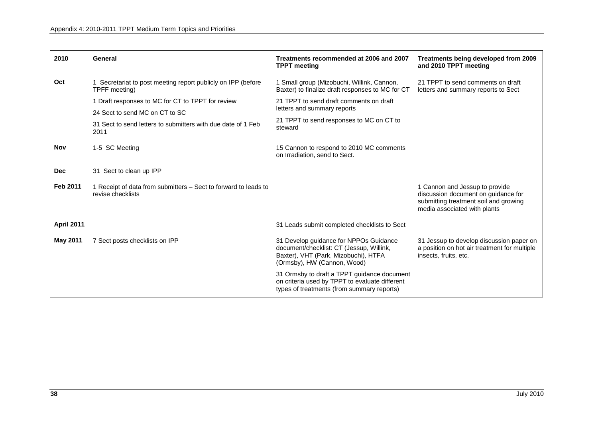| 2010              | General                                                                              | Treatments recommended at 2006 and 2007<br><b>TPPT</b> meeting                                                                                            | <b>Treatments being developed from 2009</b><br>and 2010 TPPT meeting                                                                           |
|-------------------|--------------------------------------------------------------------------------------|-----------------------------------------------------------------------------------------------------------------------------------------------------------|------------------------------------------------------------------------------------------------------------------------------------------------|
| Oct               | 1 Secretariat to post meeting report publicly on IPP (before)<br>TPFF meeting)       | 1 Small group (Mizobuchi, Willink, Cannon,<br>Baxter) to finalize draft responses to MC for CT                                                            | 21 TPPT to send comments on draft<br>letters and summary reports to Sect                                                                       |
|                   | 1 Draft responses to MC for CT to TPPT for review                                    | 21 TPPT to send draft comments on draft                                                                                                                   |                                                                                                                                                |
|                   | 24 Sect to send MC on CT to SC                                                       | letters and summary reports                                                                                                                               |                                                                                                                                                |
|                   | 31 Sect to send letters to submitters with due date of 1 Feb<br>2011                 | 21 TPPT to send responses to MC on CT to<br>steward                                                                                                       |                                                                                                                                                |
| <b>Nov</b>        | 1-5 SC Meeting                                                                       | 15 Cannon to respond to 2010 MC comments<br>on Irradiation, send to Sect.                                                                                 |                                                                                                                                                |
| <b>Dec</b>        | 31 Sect to clean up IPP                                                              |                                                                                                                                                           |                                                                                                                                                |
| Feb 2011          | 1 Receipt of data from submitters – Sect to forward to leads to<br>revise checklists |                                                                                                                                                           | 1 Cannon and Jessup to provide<br>discussion document on guidance for<br>submitting treatment soil and growing<br>media associated with plants |
| <b>April 2011</b> |                                                                                      | 31 Leads submit completed checklists to Sect                                                                                                              |                                                                                                                                                |
| <b>May 2011</b>   | 7 Sect posts checklists on IPP                                                       | 31 Develop guidance for NPPOs Guidance<br>document/checklist: CT (Jessup, Willink,<br>Baxter), VHT (Park, Mizobuchi), HTFA<br>(Ormsby), HW (Cannon, Wood) | 31 Jessup to develop discussion paper on<br>a position on hot air treatment for multiple<br>insects, fruits, etc.                              |
|                   |                                                                                      | 31 Ormsby to draft a TPPT guidance document<br>on criteria used by TPPT to evaluate different<br>types of treatments (from summary reports)               |                                                                                                                                                |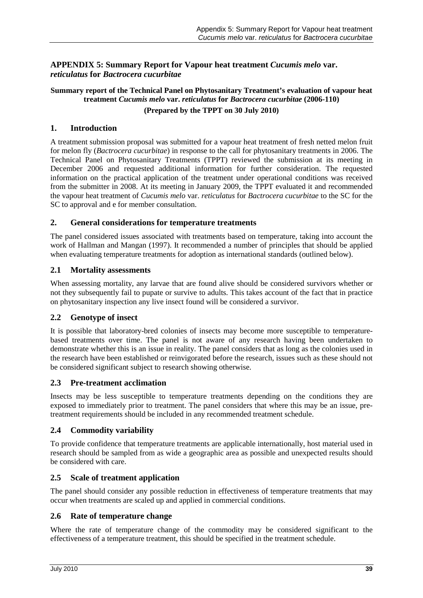# <span id="page-38-0"></span>**APPENDIX 5: Summary Report for Vapour heat treatment** *Cucumis melo* **var.**  *reticulatus* **for** *Bactrocera cucurbitae*

# **Summary report of the Technical Panel on Phytosanitary Treatment's evaluation of vapour heat treatment** *Cucumis melo* **var.** *reticulatus* **for** *Bactrocera cucurbitae* **(2006-110) (Prepared by the TPPT on 30 July 2010)**

# **1. Introduction**

A treatment submission proposal was submitted for a vapour heat treatment of fresh netted melon fruit for melon fly (*Bactrocera cucurbitae*) in response to the call for phytosanitary treatments in 2006. The Technical Panel on Phytosanitary Treatments (TPPT) reviewed the submission at its meeting in December 2006 and requested additional information for further consideration. The requested information on the practical application of the treatment under operational conditions was received from the submitter in 2008. At its meeting in January 2009, the TPPT evaluated it and recommended the vapour heat treatment of *Cucumis melo* var. *reticulatus* for *Bactrocera cucurbitae* to the SC for the SC to approval and e for member consultation.

# **2. General considerations for temperature treatments**

The panel considered issues associated with treatments based on temperature, taking into account the work of Hallman and Mangan (1997). It recommended a number of principles that should be applied when evaluating temperature treatments for adoption as international standards (outlined below).

# **2.1 Mortality assessments**

When assessing mortality, any larvae that are found alive should be considered survivors whether or not they subsequently fail to pupate or survive to adults. This takes account of the fact that in practice on phytosanitary inspection any live insect found will be considered a survivor.

# **2.2 Genotype of insect**

It is possible that laboratory-bred colonies of insects may become more susceptible to temperaturebased treatments over time. The panel is not aware of any research having been undertaken to demonstrate whether this is an issue in reality. The panel considers that as long as the colonies used in the research have been established or reinvigorated before the research, issues such as these should not be considered significant subject to research showing otherwise.

# **2.3 Pre-treatment acclimation**

Insects may be less susceptible to temperature treatments depending on the conditions they are exposed to immediately prior to treatment. The panel considers that where this may be an issue, pretreatment requirements should be included in any recommended treatment schedule.

# **2.4 Commodity variability**

To provide confidence that temperature treatments are applicable internationally, host material used in research should be sampled from as wide a geographic area as possible and unexpected results should be considered with care.

# **2.5 Scale of treatment application**

The panel should consider any possible reduction in effectiveness of temperature treatments that may occur when treatments are scaled up and applied in commercial conditions.

# **2.6 Rate of temperature change**

Where the rate of temperature change of the commodity may be considered significant to the effectiveness of a temperature treatment, this should be specified in the treatment schedule.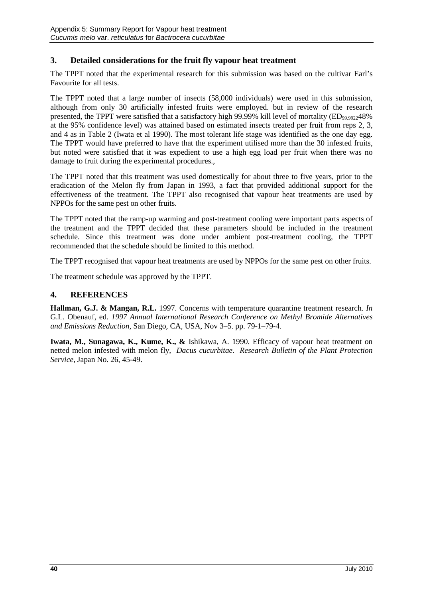# **3. Detailed considerations for the fruit fly vapour heat treatment**

The TPPT noted that the experimental research for this submission was based on the cultivar Earl's Favourite for all tests.

The TPPT noted that a large number of insects (58,000 individuals) were used in this submission, although from only 30 artificially infested fruits were employed. but in review of the research presented, the TPPT were satisfied that a satisfactory high 99.99% kill level of mortality ( $ED_{99.9922}48\%$ at the 95% confidence level) was attained based on estimated insects treated per fruit from reps 2, 3, and 4 as in Table 2 (Iwata et al 1990). The most tolerant life stage was identified as the one day egg. The TPPT would have preferred to have that the experiment utilised more than the 30 infested fruits, but noted were satisfied that it was expedient to use a high egg load per fruit when there was no damage to fruit during the experimental procedures.,

The TPPT noted that this treatment was used domestically for about three to five years, prior to the eradication of the Melon fly from Japan in 1993, a fact that provided additional support for the effectiveness of the treatment. The TPPT also recognised that vapour heat treatments are used by NPPOs for the same pest on other fruits.

The TPPT noted that the ramp-up warming and post-treatment cooling were important parts aspects of the treatment and the TPPT decided that these parameters should be included in the treatment schedule. Since this treatment was done under ambient post-treatment cooling, the TPPT recommended that the schedule should be limited to this method.

The TPPT recognised that vapour heat treatments are used by NPPOs for the same pest on other fruits.

The treatment schedule was approved by the TPPT.

# **4. REFERENCES**

**Hallman, G.J. & Mangan, R.L.** 1997. Concerns with temperature quarantine treatment research. *In* G.L. Obenauf, ed. *1997 Annual International Research Conference on Methyl Bromide Alternatives and Emissions Reduction*, San Diego, CA, USA, Nov 3–5. pp. 79-1–79-4.

**Iwata, M., Sunagawa, K., Kume, K., &** Ishikawa, A. 1990. Efficacy of vapour heat treatment on netted melon infested with melon fly, *Dacus cucurbitae*. *Research Bulletin of the Plant Protection Service*, Japan No. 26, 45-49.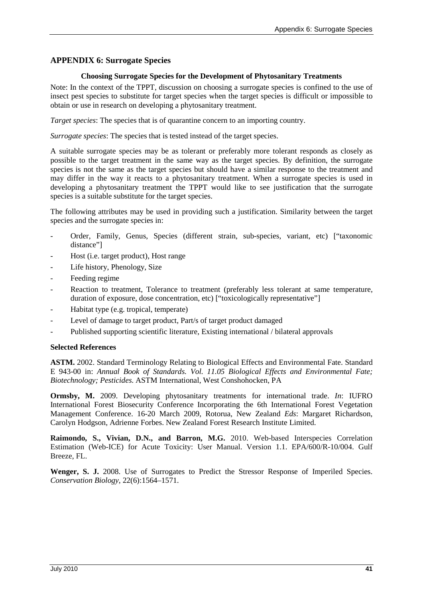# <span id="page-40-0"></span>**APPENDIX 6: Surrogate Species**

### **Choosing Surrogate Species for the Development of Phytosanitary Treatments**

Note: In the context of the TPPT, discussion on choosing a surrogate species is confined to the use of insect pest species to substitute for target species when the target species is difficult or impossible to obtain or use in research on developing a phytosanitary treatment.

*Target species*: The species that is of quarantine concern to an importing country.

*Surrogate species*: The species that is tested instead of the target species.

A suitable surrogate species may be as tolerant or preferably more tolerant responds as closely as possible to the target treatment in the same way as the target species. By definition, the surrogate species is not the same as the target species but should have a similar response to the treatment and may differ in the way it reacts to a phytosanitary treatment. When a surrogate species is used in developing a phytosanitary treatment the TPPT would like to see justification that the surrogate species is a suitable substitute for the target species.

The following attributes may be used in providing such a justification. Similarity between the target species and the surrogate species in:

- Order, Family, Genus, Species (different strain, sub-species, variant, etc) ["taxonomic distance"]
- Host (*i.e.* target product), Host range
- Life history, Phenology, Size
- Feeding regime
- Reaction to treatment, Tolerance to treatment (preferably less tolerant at same temperature, duration of exposure, dose concentration, etc) ["toxicologically representative"]
- Habitat type (e.g. tropical, temperate)
- Level of damage to target product, Part/s of target product damaged
- Published supporting scientific literature, Existing international / bilateral approvals

# **Selected References**

**ASTM.** 2002. Standard Terminology Relating to Biological Effects and Environmental Fate. Standard E 943-00 in: *Annual Book of Standards. Vol. 11.05 Biological Effects and Environmental Fate; Biotechnology; Pesticides.* ASTM International, West Conshohocken, PA

**Ormsby, M.** 2009. Developing phytosanitary treatments for international trade. *In*: IUFRO International Forest Biosecurity Conference Incorporating the 6th International Forest Vegetation Management Conference. 16-20 March 2009, Rotorua, New Zealand *Eds*: Margaret Richardson, Carolyn Hodgson, Adrienne Forbes. New Zealand Forest Research Institute Limited.

**Raimondo, S., Vivian, D.N., and Barron, M.G.** 2010. Web-based Interspecies Correlation Estimation (Web-ICE) for Acute Toxicity: User Manual. Version 1.1. EPA/600/R-10/004. Gulf Breeze, FL.

Wenger, S. J. 2008. Use of Surrogates to Predict the Stressor Response of Imperiled Species. *Conservation Biology*, 22(6):1564–1571.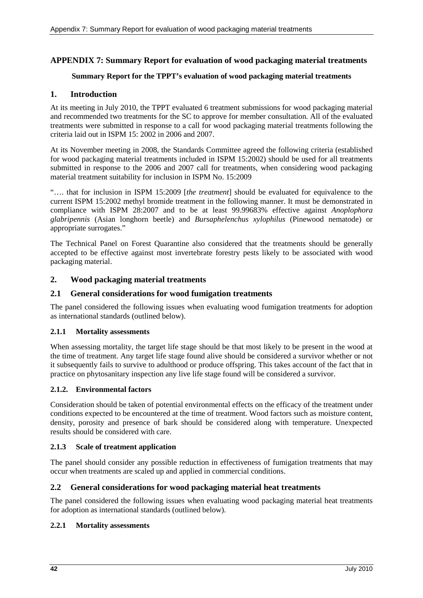# <span id="page-41-0"></span>**APPENDIX 7: Summary Report for evaluation of wood packaging material treatments**

### **Summary Report for the TPPT's evaluation of wood packaging material treatments**

# **1. Introduction**

At its meeting in July 2010, the TPPT evaluated 6 treatment submissions for wood packaging material and recommended two treatments for the SC to approve for member consultation. All of the evaluated treatments were submitted in response to a call for wood packaging material treatments following the criteria laid out in ISPM 15: 2002 in 2006 and 2007.

At its November meeting in 2008, the Standards Committee agreed the following criteria (established for wood packaging material treatments included in ISPM 15:2002) should be used for all treatments submitted in response to the 2006 and 2007 call for treatments, when considering wood packaging material treatment suitability for inclusion in ISPM No. 15:2009

"…. that for inclusion in ISPM 15:2009 [*the treatment*] should be evaluated for equivalence to the current ISPM 15:2002 methyl bromide treatment in the following manner. It must be demonstrated in compliance with ISPM 28:2007 and to be at least 99.99683% effective against *Anoplophora glabripennis* (Asian longhorn beetle) and *Bursaphelenchus xylophilus* (Pinewood nematode) or appropriate surrogates."

The Technical Panel on Forest Quarantine also considered that the treatments should be generally accepted to be effective against most invertebrate forestry pests likely to be associated with wood packaging material.

# **2. Wood packaging material treatments**

### **2.1 General considerations for wood fumigation treatments**

The panel considered the following issues when evaluating wood fumigation treatments for adoption as international standards (outlined below).

### **2.1.1 Mortality assessments**

When assessing mortality, the target life stage should be that most likely to be present in the wood at the time of treatment. Any target life stage found alive should be considered a survivor whether or not it subsequently fails to survive to adulthood or produce offspring. This takes account of the fact that in practice on phytosanitary inspection any live life stage found will be considered a survivor.

### **2.1.2. Environmental factors**

Consideration should be taken of potential environmental effects on the efficacy of the treatment under conditions expected to be encountered at the time of treatment. Wood factors such as moisture content, density, porosity and presence of bark should be considered along with temperature. Unexpected results should be considered with care.

### **2.1.3 Scale of treatment application**

The panel should consider any possible reduction in effectiveness of fumigation treatments that may occur when treatments are scaled up and applied in commercial conditions.

### **2.2 General considerations for wood packaging material heat treatments**

The panel considered the following issues when evaluating wood packaging material heat treatments for adoption as international standards (outlined below).

### **2.2.1 Mortality assessments**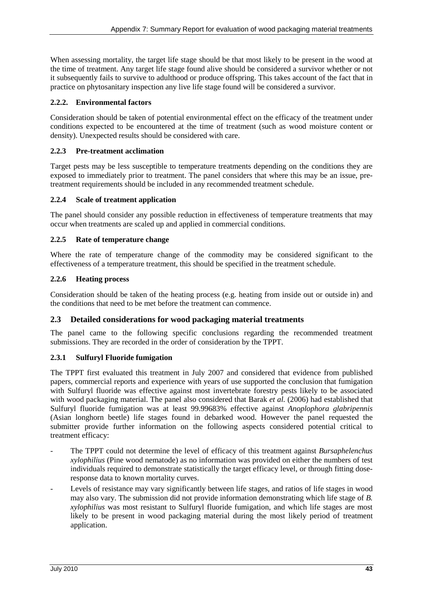When assessing mortality, the target life stage should be that most likely to be present in the wood at the time of treatment. Any target life stage found alive should be considered a survivor whether or not it subsequently fails to survive to adulthood or produce offspring. This takes account of the fact that in practice on phytosanitary inspection any live life stage found will be considered a survivor.

# **2.2.2. Environmental factors**

Consideration should be taken of potential environmental effect on the efficacy of the treatment under conditions expected to be encountered at the time of treatment (such as wood moisture content or density). Unexpected results should be considered with care.

# **2.2.3 Pre-treatment acclimation**

Target pests may be less susceptible to temperature treatments depending on the conditions they are exposed to immediately prior to treatment. The panel considers that where this may be an issue, pretreatment requirements should be included in any recommended treatment schedule.

# **2.2.4 Scale of treatment application**

The panel should consider any possible reduction in effectiveness of temperature treatments that may occur when treatments are scaled up and applied in commercial conditions.

# **2.2.5 Rate of temperature change**

Where the rate of temperature change of the commodity may be considered significant to the effectiveness of a temperature treatment, this should be specified in the treatment schedule.

### **2.2.6 Heating process**

Consideration should be taken of the heating process (e.g. heating from inside out or outside in) and the conditions that need to be met before the treatment can commence.

# **2.3 Detailed considerations for wood packaging material treatments**

The panel came to the following specific conclusions regarding the recommended treatment submissions. They are recorded in the order of consideration by the TPPT.

# **2.3.1 Sulfuryl Fluoride fumigation**

The TPPT first evaluated this treatment in July 2007 and considered that evidence from published papers, commercial reports and experience with years of use supported the conclusion that fumigation with Sulfuryl fluoride was effective against most invertebrate forestry pests likely to be associated with wood packaging material. The panel also considered that Barak *et al.* (2006) had established that Sulfuryl fluoride fumigation was at least 99.99683% effective against *Anoplophora glabripennis* (Asian longhorn beetle) life stages found in debarked wood. However the panel requested the submitter provide further information on the following aspects considered potential critical to treatment efficacy:

- The TPPT could not determine the level of efficacy of this treatment against *Bursaphelenchus xylophilius* (Pine wood nematode) as no information was provided on either the numbers of test individuals required to demonstrate statistically the target efficacy level, or through fitting doseresponse data to known mortality curves.
- Levels of resistance may vary significantly between life stages, and ratios of life stages in wood may also vary. The submission did not provide information demonstrating which life stage of *B. xylophilius* was most resistant to Sulfuryl fluoride fumigation, and which life stages are most likely to be present in wood packaging material during the most likely period of treatment application.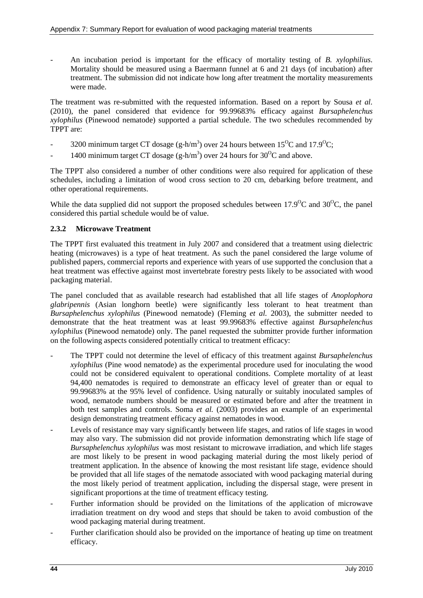- An incubation period is important for the efficacy of mortality testing of *B. xylophilius*. Mortality should be measured using a Baermann funnel at 6 and 21 days (of incubation) after treatment. The submission did not indicate how long after treatment the mortality measurements were made.

The treatment was re-submitted with the requested information. Based on a report by Sousa *et al.* (2010), the panel considered that evidence for 99.99683% efficacy against *Bursaphelenchus xylophilus* (Pinewood nematode) supported a partial schedule. The two schedules recommended by TPPT are:

- 3200 minimum target CT dosage (g-h/m<sup>3</sup>) over 24 hours between  $15^{\circ}$ C and  $17.9^{\circ}$ C;
- 1400 minimum target CT dosage  $(g-h/m^3)$  over 24 hours for 30<sup>o</sup>C and above.

The TPPT also considered a number of other conditions were also required for application of these schedules, including a limitation of wood cross section to 20 cm, debarking before treatment, and other operational requirements.

While the data supplied did not support the proposed schedules between  $17.9^{\circ}$ C and  $30^{\circ}$ C, the panel considered this partial schedule would be of value.

# **2.3.2 Microwave Treatment**

The TPPT first evaluated this treatment in July 2007 and considered that a treatment using dielectric heating (microwaves) is a type of heat treatment. As such the panel considered the large volume of published papers, commercial reports and experience with years of use supported the conclusion that a heat treatment was effective against most invertebrate forestry pests likely to be associated with wood packaging material.

The panel concluded that as available research had established that all life stages of *Anoplophora glabripennis* (Asian longhorn beetle) were significantly less tolerant to heat treatment than *Bursaphelenchus xylophilus* (Pinewood nematode) (Fleming *et al.* 2003), the submitter needed to demonstrate that the heat treatment was at least 99.99683% effective against *Bursaphelenchus xylophilus* (Pinewood nematode) only. The panel requested the submitter provide further information on the following aspects considered potentially critical to treatment efficacy:

- The TPPT could not determine the level of efficacy of this treatment against *Bursaphelenchus xylophilus* (Pine wood nematode) as the experimental procedure used for inoculating the wood could not be considered equivalent to operational conditions. Complete mortality of at least 94,400 nematodes is required to demonstrate an efficacy level of greater than or equal to 99.99683% at the 95% level of confidence. Using naturally or suitably inoculated samples of wood, nematode numbers should be measured or estimated before and after the treatment in both test samples and controls. Soma *et al.* (2003) provides an example of an experimental design demonstrating treatment efficacy against nematodes in wood.
- Levels of resistance may vary significantly between life stages, and ratios of life stages in wood may also vary. The submission did not provide information demonstrating which life stage of *Bursaphelenchus xylophilus* was most resistant to microwave irradiation, and which life stages are most likely to be present in wood packaging material during the most likely period of treatment application. In the absence of knowing the most resistant life stage, evidence should be provided that all life stages of the nematode associated with wood packaging material during the most likely period of treatment application, including the dispersal stage, were present in significant proportions at the time of treatment efficacy testing.
- Further information should be provided on the limitations of the application of microwave irradiation treatment on dry wood and steps that should be taken to avoid combustion of the wood packaging material during treatment.
- Further clarification should also be provided on the importance of heating up time on treatment efficacy.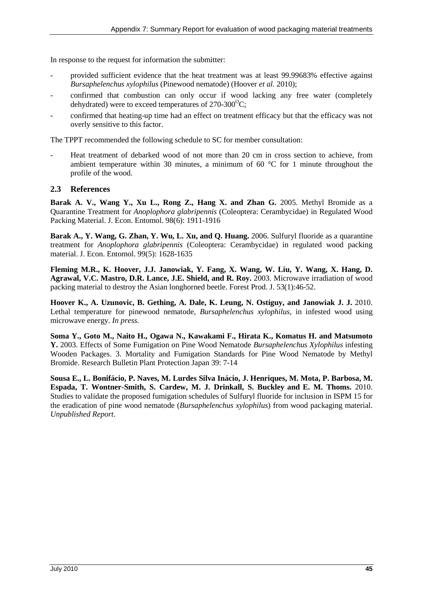In response to the request for information the submitter:

- provided sufficient evidence that the heat treatment was at least 99.99683% effective against *Bursaphelenchus xylophilus* (Pinewood nematode) (Hoover *et al.* 2010);
- confirmed that combustion can only occur if wood lacking any free water (completely dehydrated) were to exceed temperatures of 270-300 $^{\circ}$ C;
- confirmed that heating-up time had an effect on treatment efficacy but that the efficacy was not overly sensitive to this factor.

The TPPT recommended the following schedule to SC for member consultation:

- Heat treatment of debarked wood of not more than 20 cm in cross section to achieve, from ambient temperature within 30 minutes, a minimum of 60 °C for 1 minute throughout the profile of the wood.

### **2.3 References**

**Barak A. V., Wang Y., Xu L., Rong Z., Hang X. and Zhan G.** 2005. Methyl Bromide as a Quarantine Treatment for *Anoplophora glabripennis* (Coleoptera: Cerambycidae) in Regulated Wood Packing Material. J. Econ. Entomol. 98(6): 1911-1916

**Barak A., Y. Wang, G. Zhan, Y. Wu, L. Xu, and Q. Huang.** 2006. Sulfuryl fluoride as a quarantine treatment for *Anoplophora glabripennis* (Coleoptera: Cerambycidae) in regulated wood packing material. J. Econ. Entomol. 99(5): 1628-1635

**Fleming M.R., K. Hoover, J.J. Janowiak, Y. Fang, X. Wang, W. Liu, Y. Wang, X. Hang, D. Agrawal, V.C. Mastro, D.R. Lance, J.E. Shield, and R. Roy.** 2003. Microwave irradiation of wood packing material to destroy the Asian longhorned beetle. Forest Prod. J. 53(1):46-52.

**Hoover K., A. Uzunovic, B. Gething, A. Dale, K. Leung, N. Ostiguy, and Janowiak J. J.** 2010. Lethal temperature for pinewood nematode, *Bursaphelenchus xylophilus,* in infested wood using microwave energy. *In press*.

**Soma Y., Goto M., Naito H., Ogawa N., Kawakami F., Hirata K., Komatus H. and Matsumoto Y.** 2003. Effects of Some Fumigation on Pine Wood Nematode *Bursaphelenchus Xylophilus* infesting Wooden Packages. 3. Mortality and Fumigation Standards for Pine Wood Nematode by Methyl Bromide. Research Bulletin Plant Protection Japan 39: 7-14

**Sousa E., L. Bonifácio, P. Naves, M. Lurdes Silva Inácio, J. Henriques, M. Mota, P. Barbosa, M. Espada, T. Wontner-Smith, S. Cardew, M. J. Drinkall, S. Buckley and E. M. Thoms.** 2010. Studies to validate the proposed fumigation schedules of Sulfuryl fluoride for inclusion in ISPM 15 for the eradication of pine wood nematode (*Bursaphelenchus xylophilus*) from wood packaging material. *Unpublished Report*.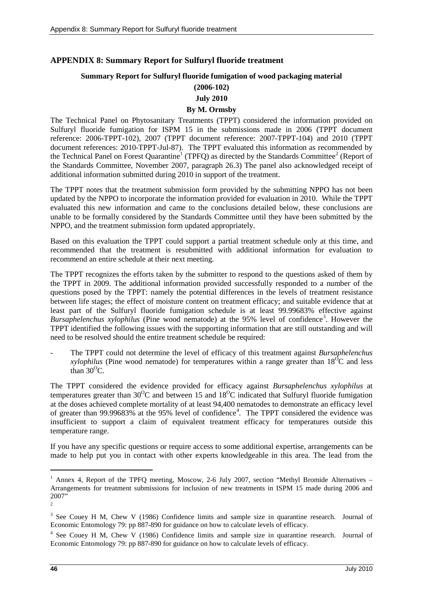# <span id="page-45-0"></span>**APPENDIX 8: Summary Report for Sulfuryl fluoride treatment**

### **Summary Report for Sulfuryl fluoride fumigation of wood packaging material**

# **(2006-102)**

# **July 2010**

# **By M. Ormsby**

The Technical Panel on Phytosanitary Treatments (TPPT) considered the information provided on Sulfuryl fluoride fumigation for ISPM 15 in the submissions made in 2006 (TPPT document reference: 2006-TPPT-102), 2007 (TPPT document reference: 2007-TPPT-104) and 2010 (TPPT document references: 2010-TPPT-Jul-87). The TPPT evaluated this information as recommended by the Technical Panel on Forest Quarantine<sup>[1](#page-45-1)</sup> (TPFQ) as directed by the Standards Committee<sup>[2](#page-45-2)</sup> (Report of the Standards Committee, November 2007, paragraph 26.3) The panel also acknowledged receipt of additional information submitted during 2010 in support of the treatment.

The TPPT notes that the treatment submission form provided by the submitting NPPO has not been updated by the NPPO to incorporate the information provided for evaluation in 2010. While the TPPT evaluated this new information and came to the conclusions detailed below, these conclusions are unable to be formally considered by the Standards Committee until they have been submitted by the NPPO, and the treatment submission form updated appropriately.

Based on this evaluation the TPPT could support a partial treatment schedule only at this time, and recommended that the treatment is resubmitted with additional information for evaluation to recommend an entire schedule at their next meeting.

The TPPT recognizes the efforts taken by the submitter to respond to the questions asked of them by the TPPT in 2009. The additional information provided successfully responded to a number of the questions posed by the TPPT: namely the potential differences in the levels of treatment resistance between life stages; the effect of moisture content on treatment efficacy; and suitable evidence that at least part of the Sulfuryl fluoride fumigation schedule is at least 99.99683% effective against Bursaphelenchus xylophilus (Pine wood nematode) at the 95% level of confidence<sup>[3](#page-45-3)</sup>. However the TPPT identified the following issues with the supporting information that are still outstanding and will need to be resolved should the entire treatment schedule be required:

- The TPPT could not determine the level of efficacy of this treatment against *Bursaphelenchus xylophilus* (Pine wood nematode) for temperatures within a range greater than  $18^{0}$ C and less than  $30^{\circ}$ C.

The TPPT considered the evidence provided for efficacy against *Bursaphelenchus xylophilus* at temperatures greater than  $30^{\circ}$ C and between 15 and  $18^{\circ}$ C indicated that Sulfuryl fluoride fumigation at the doses achieved complete mortality of at least 94,400 nematodes to demonstrate an efficacy level of greater than 99.99683% at the 95% level of confidence<sup>[4](#page-45-4)</sup>. The TPPT considered the evidence was insufficient to support a claim of equivalent treatment efficacy for temperatures outside this temperature range.

If you have any specific questions or require access to some additional expertise, arrangements can be made to help put you in contact with other experts knowledgeable in this area. The lead from the

<span id="page-45-1"></span><sup>&</sup>lt;sup>1</sup> Annex 4, Report of the TPFO meeting, Moscow, 2-6 July 2007, section "Methyl Bromide Alternatives – Arrangements for treatment submissions for inclusion of new treatments in ISPM 15 made during 2006 and 2007"

<span id="page-45-2"></span> $\gamma$ 

<span id="page-45-3"></span><sup>&</sup>lt;sup>3</sup> See Couey H M, Chew V (1986) Confidence limits and sample size in quarantine research. Journal of Economic Entomology 79: pp 887-890 for guidance on how to calculate levels of efficacy.

<span id="page-45-4"></span><sup>4</sup> See Couey H M, Chew V (1986) Confidence limits and sample size in quarantine research. Journal of Economic Entomology 79: pp 887-890 for guidance on how to calculate levels of efficacy.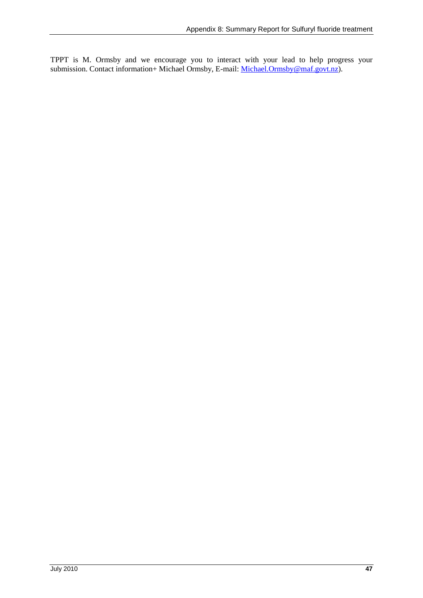TPPT is M. Ormsby and we encourage you to interact with your lead to help progress your submission. Contact information+ Michael Ormsby, E-mail: *Michael.Ormsby@maf.govt.nz*).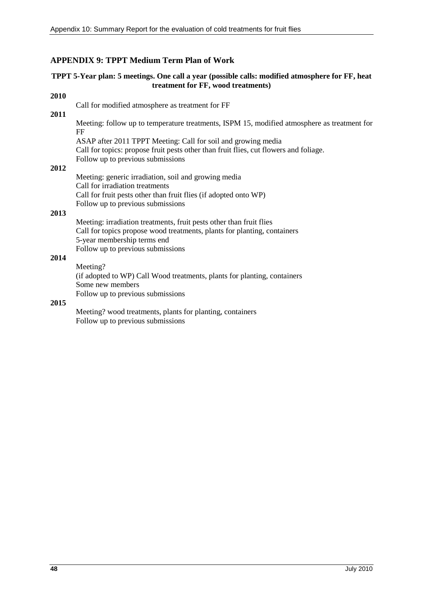# <span id="page-47-0"></span>**APPENDIX 9: TPPT Medium Term Plan of Work**

### **TPPT 5-Year plan: 5 meetings. One call a year (possible calls: modified atmosphere for FF, heat treatment for FF, wood treatments)**

### **2010**

Call for modified atmosphere as treatment for FF

### **2011**

Meeting: follow up to temperature treatments, ISPM 15, modified atmosphere as treatment for FF

ASAP after 2011 TPPT Meeting: Call for soil and growing media Call for topics: propose fruit pests other than fruit flies, cut flowers and foliage. Follow up to previous submissions

# **2012**

Meeting: generic irradiation, soil and growing media Call for irradiation treatments Call for fruit pests other than fruit flies (if adopted onto WP) Follow up to previous submissions

### **2013**

Meeting: irradiation treatments, fruit pests other than fruit flies Call for topics propose wood treatments, plants for planting, containers 5-year membership terms end Follow up to previous submissions

# **2014**

Meeting? (if adopted to WP) Call Wood treatments, plants for planting, containers Some new members Follow up to previous submissions

### **2015**

Meeting? wood treatments, plants for planting, containers Follow up to previous submissions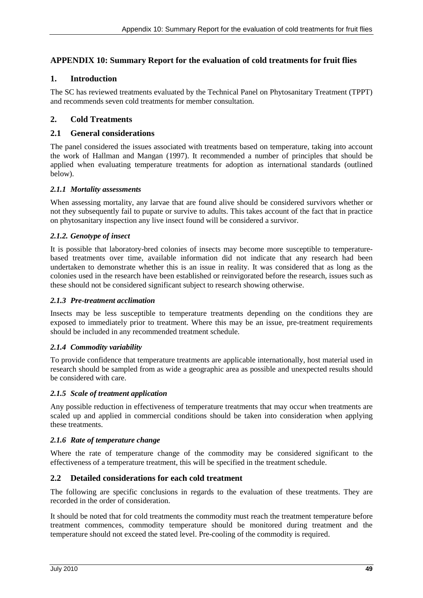# <span id="page-48-0"></span>**APPENDIX 10: Summary Report for the evaluation of cold treatments for fruit flies**

# **1. Introduction**

The SC has reviewed treatments evaluated by the Technical Panel on Phytosanitary Treatment (TPPT) and recommends seven cold treatments for member consultation.

# **2. Cold Treatments**

### **2.1 General considerations**

The panel considered the issues associated with treatments based on temperature, taking into account the work of Hallman and Mangan (1997). It recommended a number of principles that should be applied when evaluating temperature treatments for adoption as international standards (outlined below).

### *2.1.1 Mortality assessments*

When assessing mortality, any larvae that are found alive should be considered survivors whether or not they subsequently fail to pupate or survive to adults. This takes account of the fact that in practice on phytosanitary inspection any live insect found will be considered a survivor.

### *2.1.2. Genotype of insect*

It is possible that laboratory-bred colonies of insects may become more susceptible to temperaturebased treatments over time, available information did not indicate that any research had been undertaken to demonstrate whether this is an issue in reality. It was considered that as long as the colonies used in the research have been established or reinvigorated before the research, issues such as these should not be considered significant subject to research showing otherwise.

### *2.1.3 Pre-treatment acclimation*

Insects may be less susceptible to temperature treatments depending on the conditions they are exposed to immediately prior to treatment. Where this may be an issue, pre-treatment requirements should be included in any recommended treatment schedule.

### *2.1.4 Commodity variability*

To provide confidence that temperature treatments are applicable internationally, host material used in research should be sampled from as wide a geographic area as possible and unexpected results should be considered with care.

### *2.1.5 Scale of treatment application*

Any possible reduction in effectiveness of temperature treatments that may occur when treatments are scaled up and applied in commercial conditions should be taken into consideration when applying these treatments.

### *2.1.6 Rate of temperature change*

Where the rate of temperature change of the commodity may be considered significant to the effectiveness of a temperature treatment, this will be specified in the treatment schedule.

# **2.2 Detailed considerations for each cold treatment**

The following are specific conclusions in regards to the evaluation of these treatments. They are recorded in the order of consideration.

It should be noted that for cold treatments the commodity must reach the treatment temperature before treatment commences, commodity temperature should be monitored during treatment and the temperature should not exceed the stated level. Pre-cooling of the commodity is required.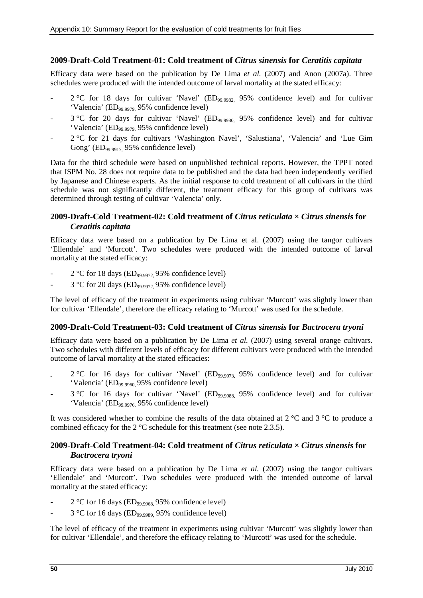# **2009-Draft-Cold Treatment-01: Cold treatment of** *Citrus sinensis* **for** *Ceratitis capitata*

Efficacy data were based on the publication by De Lima *et al.* (2007) and Anon (2007a). Three schedules were produced with the intended outcome of larval mortality at the stated efficacy:

- $2^{\circ}$ C for 18 days for cultivar 'Navel' (ED<sub>99.9982</sub> 95% confidence level) and for cultivar 'Valencia' (ED99.9979, 95% confidence level)
- 3 °C for 20 days for cultivar 'Navel' (ED<sub>99.9980,</sub> 95% confidence level) and for cultivar 'Valencia' (ED99.9979, 95% confidence level)
- 2 °C for 21 days for cultivars 'Washington Navel', 'Salustiana', 'Valencia' and 'Lue Gim Gong' (ED<sub>99.9917,</sub> 95% confidence level)

Data for the third schedule were based on unpublished technical reports. However, the TPPT noted that ISPM No. 28 does not require data to be published and the data had been independently verified by Japanese and Chinese experts. As the initial response to cold treatment of all cultivars in the third schedule was not significantly different, the treatment efficacy for this group of cultivars was determined through testing of cultivar 'Valencia' only.

# **2009-Draft-Cold Treatment-02: Cold treatment of** *Citrus reticulata* **×** *Citrus sinensis* **for**  *Ceratitis capitata*

Efficacy data were based on a publication by De Lima et al. (2007) using the tangor cultivars 'Ellendale' and 'Murcott'. Two schedules were produced with the intended outcome of larval mortality at the stated efficacy:

- $2 °C$  for 18 days (ED<sub>99.9972</sub>, 95% confidence level)
- $3 °C$  for 20 days (ED<sub>99.9972</sub>, 95% confidence level)

The level of efficacy of the treatment in experiments using cultivar 'Murcott' was slightly lower than for cultivar 'Ellendale', therefore the efficacy relating to 'Murcott' was used for the schedule.

# **2009-Draft-Cold Treatment-03: Cold treatment of** *Citrus sinensis* **for** *Bactrocera tryoni*

Efficacy data were based on a publication by De Lima *et al.* (2007) using several orange cultivars. Two schedules with different levels of efficacy for different cultivars were produced with the intended outcome of larval mortality at the stated efficacies:

- $2^{\circ}$ C for 16 days for cultivar 'Navel' (ED<sub>99.9973,</sub> 95% confidence level) and for cultivar 'Valencia' (ED99.9960, 95% confidence level)
- 3 °C for 16 days for cultivar 'Navel' (ED<sub>99.9988,</sub> 95% confidence level) and for cultivar 'Valencia' (ED99.9976, 95% confidence level)

It was considered whether to combine the results of the data obtained at  $2^{\circ}$ C and  $3^{\circ}$ C to produce a combined efficacy for the 2 °C schedule for this treatment (see note 2.3.5).

### **2009-Draft-Cold Treatment-04: Cold treatment of** *Citrus reticulata* **×** *Citrus sinensis* **for**  *Bactrocera tryoni*

Efficacy data were based on a publication by De Lima *et al.* (2007) using the tangor cultivars 'Ellendale' and 'Murcott'. Two schedules were produced with the intended outcome of larval mortality at the stated efficacy:

- 2 °C for 16 days (ED<sub>99.9968</sub>, 95% confidence level)
- 3 °C for 16 days (ED99.9989, 95% confidence level)

The level of efficacy of the treatment in experiments using cultivar 'Murcott' was slightly lower than for cultivar 'Ellendale', and therefore the efficacy relating to 'Murcott' was used for the schedule.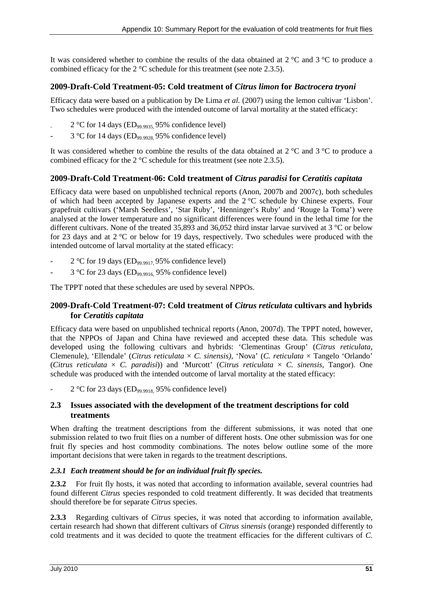It was considered whether to combine the results of the data obtained at  $2^{\circ}$ C and  $3^{\circ}$ C to produce a combined efficacy for the 2 °C schedule for this treatment (see note 2.3.5).

# **2009-Draft-Cold Treatment-05: Cold treatment of** *Citrus limon* **for** *Bactrocera tryoni*

Efficacy data were based on a publication by De Lima *et al.* (2007) using the lemon cultivar 'Lisbon'. Two schedules were produced with the intended outcome of larval mortality at the stated efficacy:

- $2$  °C for 14 days (ED<sub>99.9935</sub>, 95% confidence level)
- $3 °C$  for 14 days (ED<sub>99.9928</sub>, 95% confidence level)

It was considered whether to combine the results of the data obtained at 2 °C and 3 °C to produce a combined efficacy for the 2 °C schedule for this treatment (see note 2.3.5).

# **2009-Draft-Cold Treatment-06: Cold treatment of** *Citrus paradisi* **for** *Ceratitis capitata*

Efficacy data were based on unpublished technical reports (Anon, 2007b and 2007c), both schedules of which had been accepted by Japanese experts and the 2 °C schedule by Chinese experts. Four grapefruit cultivars ('Marsh Seedless', 'Star Ruby', 'Henninger's Ruby' and 'Rouge la Toma') were analysed at the lower temperature and no significant differences were found in the lethal time for the different cultivars. None of the treated 35,893 and 36,052 third instar larvae survived at 3 °C or below for 23 days and at 2 °C or below for 19 days, respectively. Two schedules were produced with the intended outcome of larval mortality at the stated efficacy:

- $2$  °C for 19 days (ED<sub>99.9917</sub> 95% confidence level)
- $3 °C$  for 23 days (ED<sub>99.9916</sub>, 95% confidence level)

The TPPT noted that these schedules are used by several NPPOs.

# **2009-Draft-Cold Treatment-07: Cold treatment of** *Citrus reticulata* **cultivars and hybrids for** *Ceratitis capitata*

Efficacy data were based on unpublished technical reports (Anon, 2007d). The TPPT noted, however, that the NPPOs of Japan and China have reviewed and accepted these data. This schedule was developed using the following cultivars and hybrids: 'Clementinas Group' (*Citrus reticulata,* Clemenule), 'Ellendale' (*Citrus reticulata* × *C. sinensis)*, 'Nova' (*C. reticulata* × Tangelo 'Orlando' (*Citrus reticulata* × *C. paradisi*)) and 'Murcott' (*Citrus reticulata* × *C. sinensis,* Tangor). One schedule was produced with the intended outcome of larval mortality at the stated efficacy:

 $2 °C$  for 23 days (ED<sub>99.9918</sub>, 95% confidence level)

# **2.3 Issues associated with the development of the treatment descriptions for cold treatments**

When drafting the treatment descriptions from the different submissions, it was noted that one submission related to two fruit flies on a number of different hosts. One other submission was for one fruit fly species and host commodity combinations. The notes below outline some of the more important decisions that were taken in regards to the treatment descriptions.

# *2.3.1 Each treatment should be for an individual fruit fly species.*

**2.3.2** For fruit fly hosts, it was noted that according to information available, several countries had found different *Citrus* species responded to cold treatment differently. It was decided that treatments should therefore be for separate *Citrus* species.

**2.3.3** Regarding cultivars of *Citrus* species, it was noted that according to information available, certain research had shown that different cultivars of *Citrus sinensis* (orange) responded differently to cold treatments and it was decided to quote the treatment efficacies for the different cultivars of *C.*